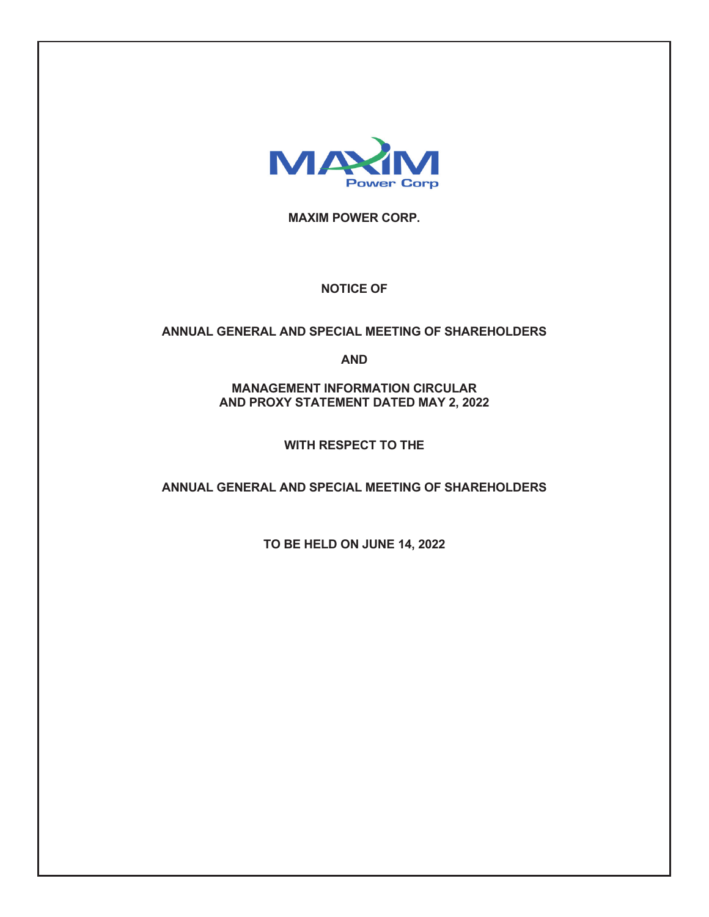

**MAXIM POWER CORP.** 

# **NOTICE OF**

# **ANNUAL GENERAL AND SPECIAL MEETING OF SHAREHOLDERS**

**AND** 

**MANAGEMENT INFORMATION CIRCULAR AND PROXY STATEMENT DATED MAY 2, 2022** 

**WITH RESPECT TO THE** 

**ANNUAL GENERAL AND SPECIAL MEETING OF SHAREHOLDERS** 

**TO BE HELD ON JUNE 14, 2022**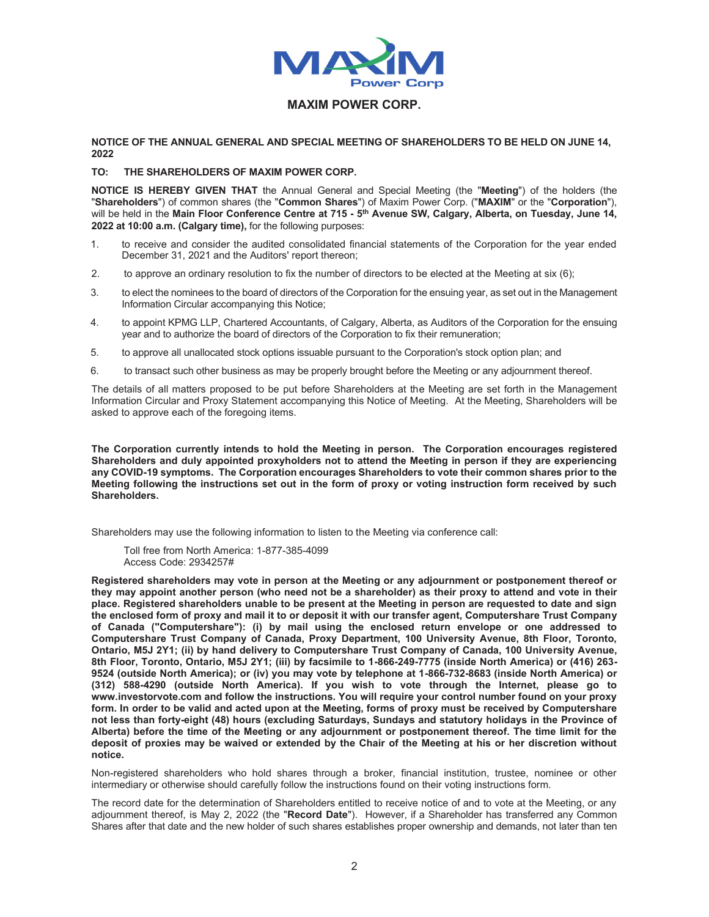

# **MAXIM POWER CORP.**

#### **NOTICE OF THE ANNUAL GENERAL AND SPECIAL MEETING OF SHAREHOLDERS TO BE HELD ON JUNE 14, 2022**

## **TO: THE SHAREHOLDERS OF MAXIM POWER CORP.**

**NOTICE IS HEREBY GIVEN THAT** the Annual General and Special Meeting (the "**Meeting**") of the holders (the "**Shareholders**") of common shares (the "**Common Shares**") of Maxim Power Corp. ("**MAXIM**" or the "**Corporation**"), will be held in the Main Floor Conference Centre at 715 - 5<sup>th</sup> Avenue SW, Calgary, Alberta, on Tuesday, June 14, **2022 at 10:00 a.m. (Calgary time),** for the following purposes:

- 1. to receive and consider the audited consolidated financial statements of the Corporation for the year ended December 31, 2021 and the Auditors' report thereon;
- 2. to approve an ordinary resolution to fix the number of directors to be elected at the Meeting at six (6);
- 3. to elect the nominees to the board of directors of the Corporation for the ensuing year, as set out in the Management Information Circular accompanying this Notice;
- 4. to appoint KPMG LLP, Chartered Accountants, of Calgary, Alberta, as Auditors of the Corporation for the ensuing year and to authorize the board of directors of the Corporation to fix their remuneration;
- 5. to approve all unallocated stock options issuable pursuant to the Corporation's stock option plan; and
- 6. to transact such other business as may be properly brought before the Meeting or any adjournment thereof.

The details of all matters proposed to be put before Shareholders at the Meeting are set forth in the Management Information Circular and Proxy Statement accompanying this Notice of Meeting. At the Meeting, Shareholders will be asked to approve each of the foregoing items.

**The Corporation currently intends to hold the Meeting in person. The Corporation encourages registered Shareholders and duly appointed proxyholders not to attend the Meeting in person if they are experiencing any COVID-19 symptoms. The Corporation encourages Shareholders to vote their common shares prior to the Meeting following the instructions set out in the form of proxy or voting instruction form received by such Shareholders.**

Shareholders may use the following information to listen to the Meeting via conference call:

Toll free from North America: 1-877-385-4099 Access Code: 2934257#

**Registered shareholders may vote in person at the Meeting or any adjournment or postponement thereof or they may appoint another person (who need not be a shareholder) as their proxy to attend and vote in their place. Registered shareholders unable to be present at the Meeting in person are requested to date and sign the enclosed form of proxy and mail it to or deposit it with our transfer agent, Computershare Trust Company of Canada ("Computershare"): (i) by mail using the enclosed return envelope or one addressed to Computershare Trust Company of Canada, Proxy Department, 100 University Avenue, 8th Floor, Toronto, Ontario, M5J 2Y1; (ii) by hand delivery to Computershare Trust Company of Canada, 100 University Avenue, 8th Floor, Toronto, Ontario, M5J 2Y1; (iii) by facsimile to 1-866-249-7775 (inside North America) or (416) 263- 9524 (outside North America); or (iv) you may vote by telephone at 1-866-732-8683 (inside North America) or (312) 588-4290 (outside North America). If you wish to vote through the Internet, please go to www.investorvote.com and follow the instructions. You will require your control number found on your proxy form. In order to be valid and acted upon at the Meeting, forms of proxy must be received by Computershare not less than forty-eight (48) hours (excluding Saturdays, Sundays and statutory holidays in the Province of Alberta) before the time of the Meeting or any adjournment or postponement thereof. The time limit for the deposit of proxies may be waived or extended by the Chair of the Meeting at his or her discretion without notice.** 

Non-registered shareholders who hold shares through a broker, financial institution, trustee, nominee or other intermediary or otherwise should carefully follow the instructions found on their voting instructions form.

The record date for the determination of Shareholders entitled to receive notice of and to vote at the Meeting, or any adjournment thereof, is May 2, 2022 (the "**Record Date**"). However, if a Shareholder has transferred any Common Shares after that date and the new holder of such shares establishes proper ownership and demands, not later than ten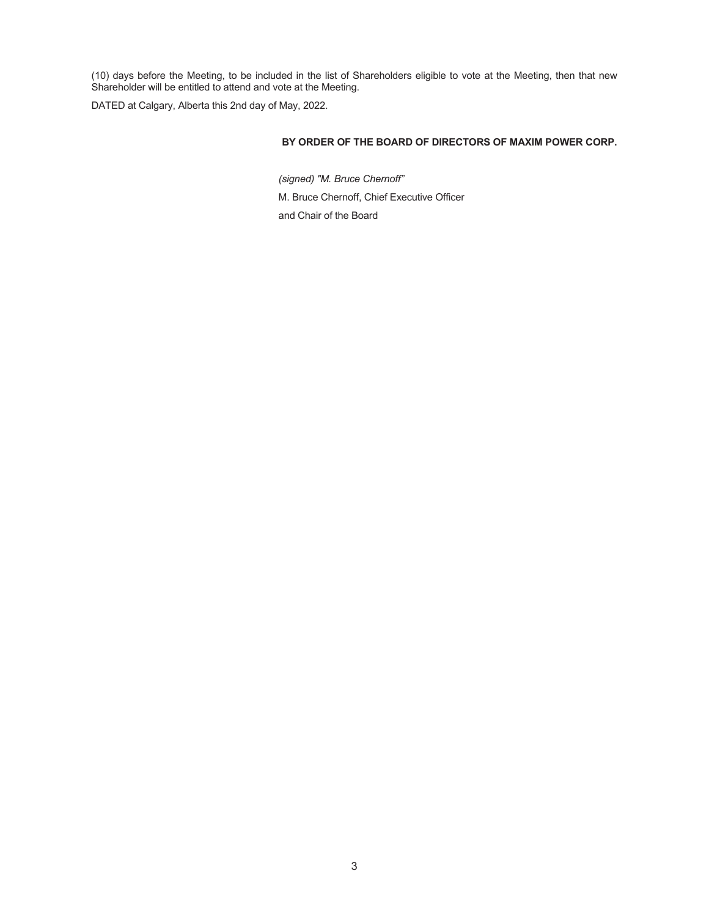(10) days before the Meeting, to be included in the list of Shareholders eligible to vote at the Meeting, then that new Shareholder will be entitled to attend and vote at the Meeting.

DATED at Calgary, Alberta this 2nd day of May, 2022.

## **BY ORDER OF THE BOARD OF DIRECTORS OF MAXIM POWER CORP.**

*(signed) "M. Bruce Chernoff"* M. Bruce Chernoff, Chief Executive Officer and Chair of the Board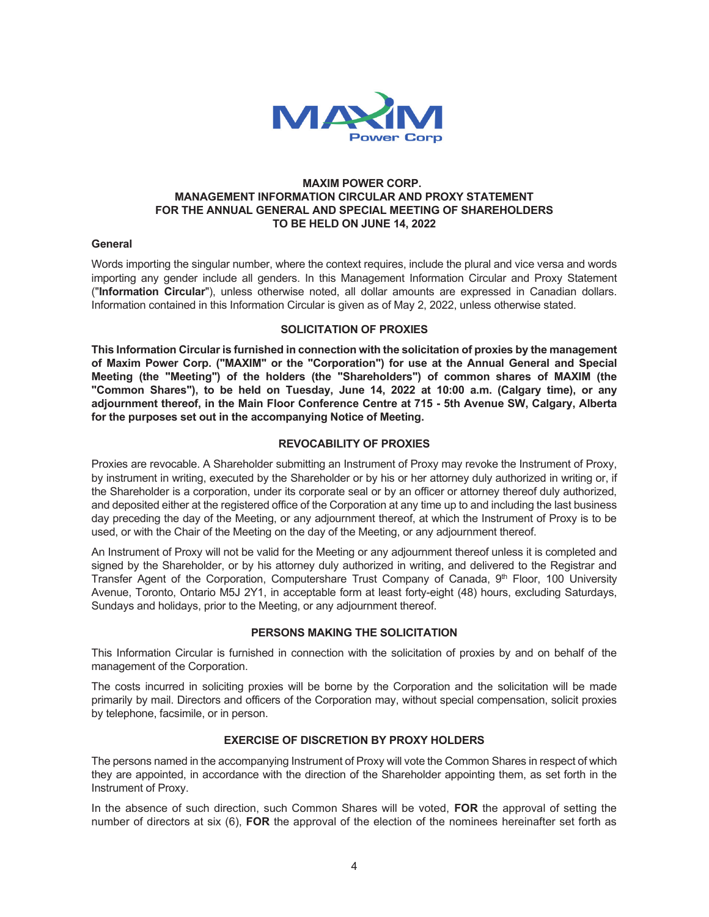

## **MAXIM POWER CORP. MANAGEMENT INFORMATION CIRCULAR AND PROXY STATEMENT FOR THE ANNUAL GENERAL AND SPECIAL MEETING OF SHAREHOLDERS TO BE HELD ON JUNE 14, 2022**

## **General**

Words importing the singular number, where the context requires, include the plural and vice versa and words importing any gender include all genders. In this Management Information Circular and Proxy Statement ("**Information Circular**"), unless otherwise noted, all dollar amounts are expressed in Canadian dollars. Information contained in this Information Circular is given as of May 2, 2022, unless otherwise stated.

## **SOLICITATION OF PROXIES**

**This Information Circular is furnished in connection with the solicitation of proxies by the management of Maxim Power Corp. ("MAXIM" or the "Corporation") for use at the Annual General and Special Meeting (the "Meeting") of the holders (the "Shareholders") of common shares of MAXIM (the "Common Shares"), to be held on Tuesday, June 14, 2022 at 10:00 a.m. (Calgary time), or any adjournment thereof, in the Main Floor Conference Centre at 715 - 5th Avenue SW, Calgary, Alberta for the purposes set out in the accompanying Notice of Meeting.** 

## **REVOCABILITY OF PROXIES**

Proxies are revocable. A Shareholder submitting an Instrument of Proxy may revoke the Instrument of Proxy, by instrument in writing, executed by the Shareholder or by his or her attorney duly authorized in writing or, if the Shareholder is a corporation, under its corporate seal or by an officer or attorney thereof duly authorized, and deposited either at the registered office of the Corporation at any time up to and including the last business day preceding the day of the Meeting, or any adjournment thereof, at which the Instrument of Proxy is to be used, or with the Chair of the Meeting on the day of the Meeting, or any adjournment thereof.

An Instrument of Proxy will not be valid for the Meeting or any adjournment thereof unless it is completed and signed by the Shareholder, or by his attorney duly authorized in writing, and delivered to the Registrar and Transfer Agent of the Corporation, Computershare Trust Company of Canada, 9th Floor, 100 University Avenue, Toronto, Ontario M5J 2Y1, in acceptable form at least forty-eight (48) hours, excluding Saturdays, Sundays and holidays, prior to the Meeting, or any adjournment thereof.

## **PERSONS MAKING THE SOLICITATION**

This Information Circular is furnished in connection with the solicitation of proxies by and on behalf of the management of the Corporation.

The costs incurred in soliciting proxies will be borne by the Corporation and the solicitation will be made primarily by mail. Directors and officers of the Corporation may, without special compensation, solicit proxies by telephone, facsimile, or in person.

## **EXERCISE OF DISCRETION BY PROXY HOLDERS**

The persons named in the accompanying Instrument of Proxy will vote the Common Shares in respect of which they are appointed, in accordance with the direction of the Shareholder appointing them, as set forth in the Instrument of Proxy.

In the absence of such direction, such Common Shares will be voted, **FOR** the approval of setting the number of directors at six (6), **FOR** the approval of the election of the nominees hereinafter set forth as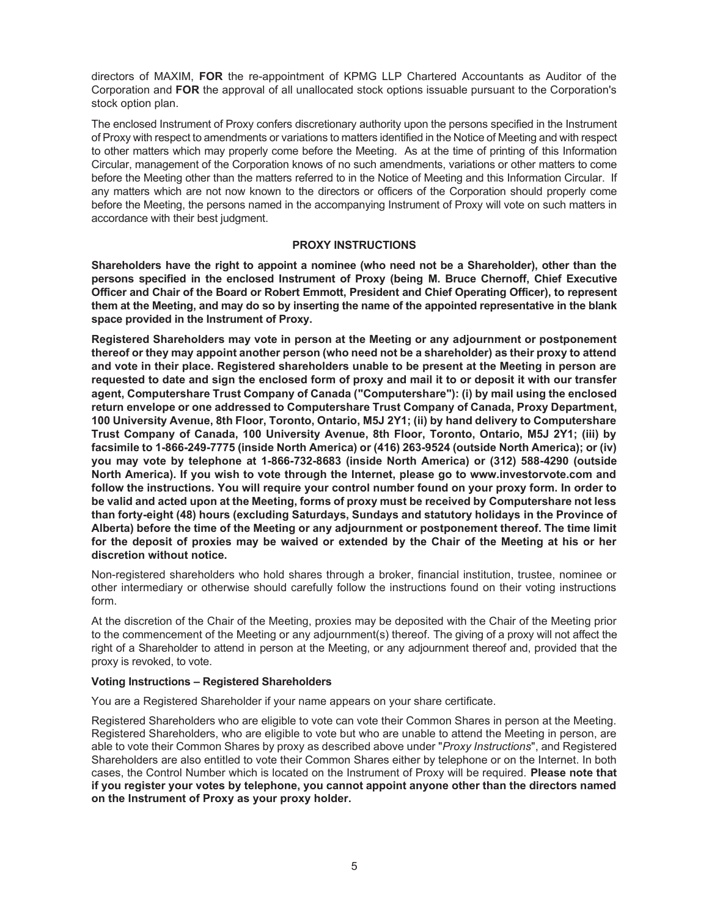directors of MAXIM, **FOR** the re-appointment of KPMG LLP Chartered Accountants as Auditor of the Corporation and **FOR** the approval of all unallocated stock options issuable pursuant to the Corporation's stock option plan.

The enclosed Instrument of Proxy confers discretionary authority upon the persons specified in the Instrument of Proxy with respect to amendments or variations to matters identified in the Notice of Meeting and with respect to other matters which may properly come before the Meeting. As at the time of printing of this Information Circular, management of the Corporation knows of no such amendments, variations or other matters to come before the Meeting other than the matters referred to in the Notice of Meeting and this Information Circular. If any matters which are not now known to the directors or officers of the Corporation should properly come before the Meeting, the persons named in the accompanying Instrument of Proxy will vote on such matters in accordance with their best judgment.

## **PROXY INSTRUCTIONS**

**Shareholders have the right to appoint a nominee (who need not be a Shareholder), other than the persons specified in the enclosed Instrument of Proxy (being M. Bruce Chernoff, Chief Executive Officer and Chair of the Board or Robert Emmott, President and Chief Operating Officer), to represent them at the Meeting, and may do so by inserting the name of the appointed representative in the blank space provided in the Instrument of Proxy.**

**Registered Shareholders may vote in person at the Meeting or any adjournment or postponement thereof or they may appoint another person (who need not be a shareholder) as their proxy to attend and vote in their place. Registered shareholders unable to be present at the Meeting in person are requested to date and sign the enclosed form of proxy and mail it to or deposit it with our transfer agent, Computershare Trust Company of Canada ("Computershare"): (i) by mail using the enclosed return envelope or one addressed to Computershare Trust Company of Canada, Proxy Department, 100 University Avenue, 8th Floor, Toronto, Ontario, M5J 2Y1; (ii) by hand delivery to Computershare Trust Company of Canada, 100 University Avenue, 8th Floor, Toronto, Ontario, M5J 2Y1; (iii) by facsimile to 1-866-249-7775 (inside North America) or (416) 263-9524 (outside North America); or (iv) you may vote by telephone at 1-866-732-8683 (inside North America) or (312) 588-4290 (outside North America). If you wish to vote through the Internet, please go to www.investorvote.com and follow the instructions. You will require your control number found on your proxy form. In order to be valid and acted upon at the Meeting, forms of proxy must be received by Computershare not less than forty-eight (48) hours (excluding Saturdays, Sundays and statutory holidays in the Province of Alberta) before the time of the Meeting or any adjournment or postponement thereof. The time limit for the deposit of proxies may be waived or extended by the Chair of the Meeting at his or her discretion without notice.** 

Non-registered shareholders who hold shares through a broker, financial institution, trustee, nominee or other intermediary or otherwise should carefully follow the instructions found on their voting instructions form.

At the discretion of the Chair of the Meeting, proxies may be deposited with the Chair of the Meeting prior to the commencement of the Meeting or any adjournment(s) thereof. The giving of a proxy will not affect the right of a Shareholder to attend in person at the Meeting, or any adjournment thereof and, provided that the proxy is revoked, to vote.

#### **Voting Instructions – Registered Shareholders**

You are a Registered Shareholder if your name appears on your share certificate.

Registered Shareholders who are eligible to vote can vote their Common Shares in person at the Meeting. Registered Shareholders, who are eligible to vote but who are unable to attend the Meeting in person, are able to vote their Common Shares by proxy as described above under "*Proxy Instructions*", and Registered Shareholders are also entitled to vote their Common Shares either by telephone or on the Internet. In both cases, the Control Number which is located on the Instrument of Proxy will be required. **Please note that if you register your votes by telephone, you cannot appoint anyone other than the directors named on the Instrument of Proxy as your proxy holder.**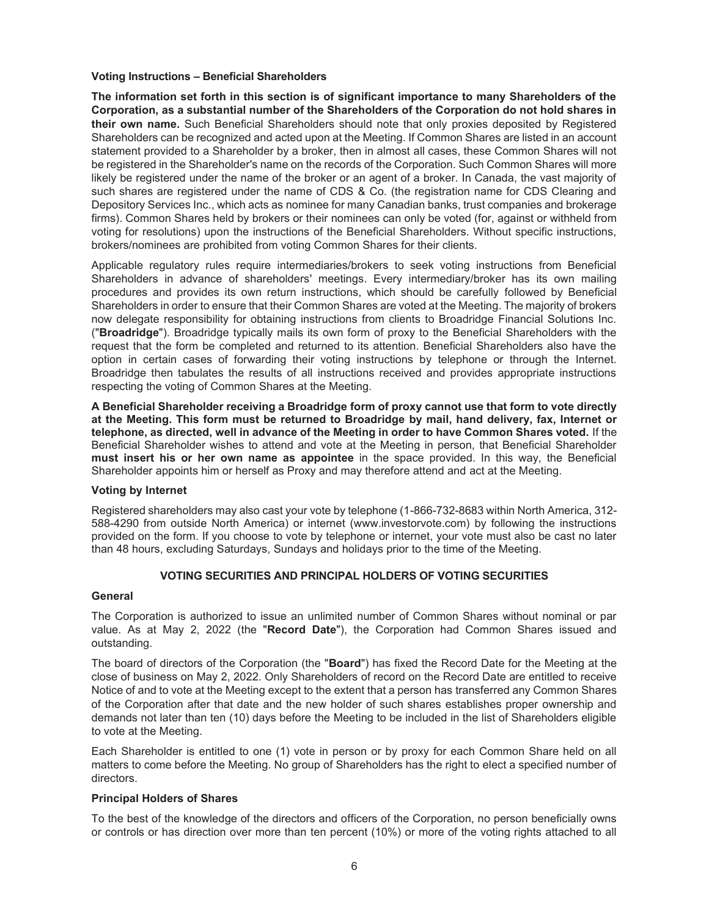#### **Voting Instructions – Beneficial Shareholders**

**The information set forth in this section is of significant importance to many Shareholders of the Corporation, as a substantial number of the Shareholders of the Corporation do not hold shares in their own name.** Such Beneficial Shareholders should note that only proxies deposited by Registered Shareholders can be recognized and acted upon at the Meeting. If Common Shares are listed in an account statement provided to a Shareholder by a broker, then in almost all cases, these Common Shares will not be registered in the Shareholder's name on the records of the Corporation. Such Common Shares will more likely be registered under the name of the broker or an agent of a broker. In Canada, the vast majority of such shares are registered under the name of CDS & Co. (the registration name for CDS Clearing and Depository Services Inc., which acts as nominee for many Canadian banks, trust companies and brokerage firms). Common Shares held by brokers or their nominees can only be voted (for, against or withheld from voting for resolutions) upon the instructions of the Beneficial Shareholders. Without specific instructions, brokers/nominees are prohibited from voting Common Shares for their clients.

Applicable regulatory rules require intermediaries/brokers to seek voting instructions from Beneficial Shareholders in advance of shareholders' meetings. Every intermediary/broker has its own mailing procedures and provides its own return instructions, which should be carefully followed by Beneficial Shareholders in order to ensure that their Common Shares are voted at the Meeting. The majority of brokers now delegate responsibility for obtaining instructions from clients to Broadridge Financial Solutions Inc. ("**Broadridge**"). Broadridge typically mails its own form of proxy to the Beneficial Shareholders with the request that the form be completed and returned to its attention. Beneficial Shareholders also have the option in certain cases of forwarding their voting instructions by telephone or through the Internet. Broadridge then tabulates the results of all instructions received and provides appropriate instructions respecting the voting of Common Shares at the Meeting.

**A Beneficial Shareholder receiving a Broadridge form of proxy cannot use that form to vote directly at the Meeting. This form must be returned to Broadridge by mail, hand delivery, fax, Internet or telephone, as directed, well in advance of the Meeting in order to have Common Shares voted.** If the Beneficial Shareholder wishes to attend and vote at the Meeting in person, that Beneficial Shareholder **must insert his or her own name as appointee** in the space provided. In this way, the Beneficial Shareholder appoints him or herself as Proxy and may therefore attend and act at the Meeting.

## **Voting by Internet**

Registered shareholders may also cast your vote by telephone (1-866-732-8683 within North America, 312- 588-4290 from outside North America) or internet (www.investorvote.com) by following the instructions provided on the form. If you choose to vote by telephone or internet, your vote must also be cast no later than 48 hours, excluding Saturdays, Sundays and holidays prior to the time of the Meeting.

## **VOTING SECURITIES AND PRINCIPAL HOLDERS OF VOTING SECURITIES**

#### **General**

The Corporation is authorized to issue an unlimited number of Common Shares without nominal or par value. As at May 2, 2022 (the "**Record Date**"), the Corporation had Common Shares issued and outstanding.

The board of directors of the Corporation (the "**Board**") has fixed the Record Date for the Meeting at the close of business on May 2, 2022. Only Shareholders of record on the Record Date are entitled to receive Notice of and to vote at the Meeting except to the extent that a person has transferred any Common Shares of the Corporation after that date and the new holder of such shares establishes proper ownership and demands not later than ten (10) days before the Meeting to be included in the list of Shareholders eligible to vote at the Meeting.

Each Shareholder is entitled to one (1) vote in person or by proxy for each Common Share held on all matters to come before the Meeting. No group of Shareholders has the right to elect a specified number of directors.

## **Principal Holders of Shares**

To the best of the knowledge of the directors and officers of the Corporation, no person beneficially owns or controls or has direction over more than ten percent (10%) or more of the voting rights attached to all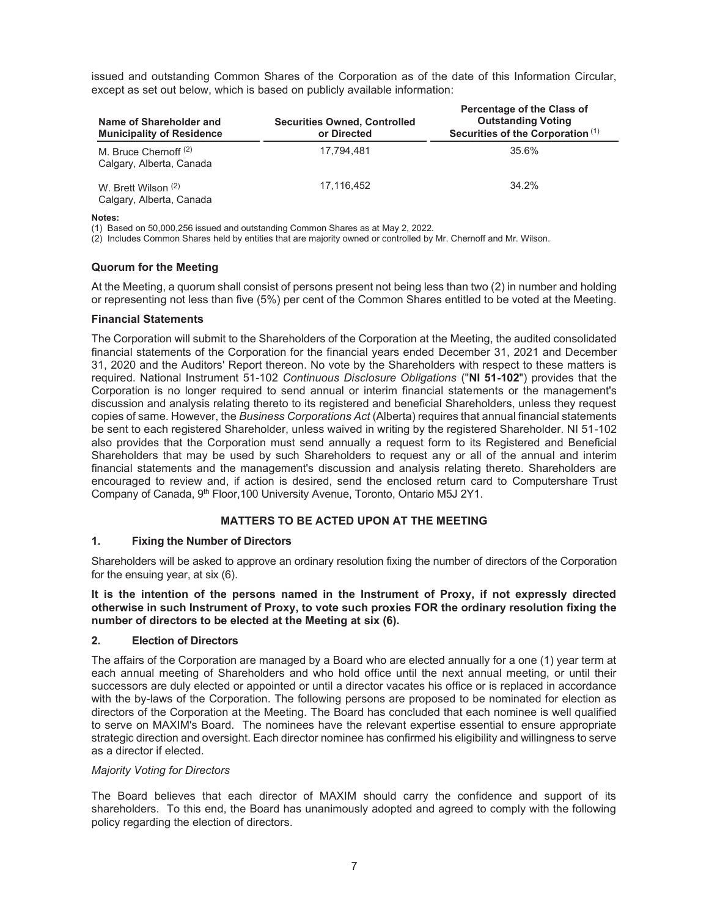issued and outstanding Common Shares of the Corporation as of the date of this Information Circular, except as set out below, which is based on publicly available information:

| Name of Shareholder and<br><b>Municipality of Residence</b> | <b>Securities Owned, Controlled</b><br>or Directed | Percentage of the Class of<br><b>Outstanding Voting</b><br>Securities of the Corporation (1) |
|-------------------------------------------------------------|----------------------------------------------------|----------------------------------------------------------------------------------------------|
| M. Bruce Chernoff (2)<br>Calgary, Alberta, Canada           | 17.794.481                                         | 35.6%                                                                                        |
| W. Brett Wilson (2)<br>Calgary, Alberta, Canada             | 17.116.452                                         | 34.2%                                                                                        |

**Notes:** 

(1) Based on 50,000,256 issued and outstanding Common Shares as at May 2, 2022.

(2) Includes Common Shares held by entities that are majority owned or controlled by Mr. Chernoff and Mr. Wilson.

## **Quorum for the Meeting**

At the Meeting, a quorum shall consist of persons present not being less than two (2) in number and holding or representing not less than five (5%) per cent of the Common Shares entitled to be voted at the Meeting.

## **Financial Statements**

The Corporation will submit to the Shareholders of the Corporation at the Meeting, the audited consolidated financial statements of the Corporation for the financial years ended December 31, 2021 and December 31, 2020 and the Auditors' Report thereon. No vote by the Shareholders with respect to these matters is required. National Instrument 51-102 *Continuous Disclosure Obligations* ("**NI 51-102**") provides that the Corporation is no longer required to send annual or interim financial statements or the management's discussion and analysis relating thereto to its registered and beneficial Shareholders, unless they request copies of same. However, the *Business Corporations Act* (Alberta) requires that annual financial statements be sent to each registered Shareholder, unless waived in writing by the registered Shareholder. NI 51-102 also provides that the Corporation must send annually a request form to its Registered and Beneficial Shareholders that may be used by such Shareholders to request any or all of the annual and interim financial statements and the management's discussion and analysis relating thereto. Shareholders are encouraged to review and, if action is desired, send the enclosed return card to Computershare Trust Company of Canada, 9<sup>th</sup> Floor, 100 University Avenue, Toronto, Ontario M5J 2Y1.

## **MATTERS TO BE ACTED UPON AT THE MEETING**

## **1. Fixing the Number of Directors**

Shareholders will be asked to approve an ordinary resolution fixing the number of directors of the Corporation for the ensuing year, at six (6).

**It is the intention of the persons named in the Instrument of Proxy, if not expressly directed otherwise in such Instrument of Proxy, to vote such proxies FOR the ordinary resolution fixing the number of directors to be elected at the Meeting at six (6).** 

#### **2. Election of Directors**

The affairs of the Corporation are managed by a Board who are elected annually for a one (1) year term at each annual meeting of Shareholders and who hold office until the next annual meeting, or until their successors are duly elected or appointed or until a director vacates his office or is replaced in accordance with the by-laws of the Corporation. The following persons are proposed to be nominated for election as directors of the Corporation at the Meeting. The Board has concluded that each nominee is well qualified to serve on MAXIM's Board. The nominees have the relevant expertise essential to ensure appropriate strategic direction and oversight. Each director nominee has confirmed his eligibility and willingness to serve as a director if elected.

#### *Majority Voting for Directors*

The Board believes that each director of MAXIM should carry the confidence and support of its shareholders. To this end, the Board has unanimously adopted and agreed to comply with the following policy regarding the election of directors.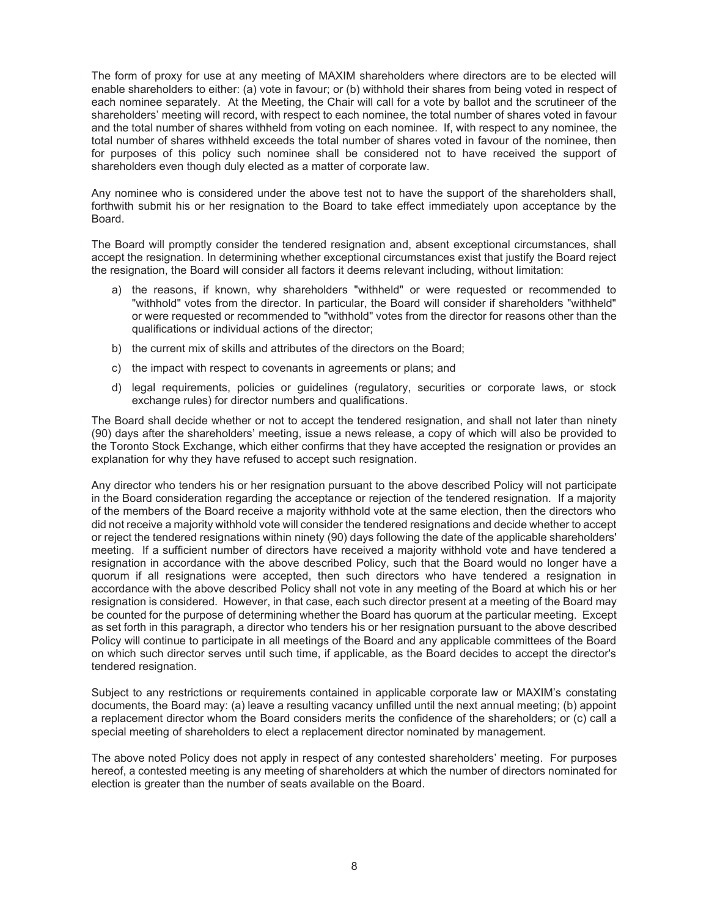The form of proxy for use at any meeting of MAXIM shareholders where directors are to be elected will enable shareholders to either: (a) vote in favour; or (b) withhold their shares from being voted in respect of each nominee separately. At the Meeting, the Chair will call for a vote by ballot and the scrutineer of the shareholders' meeting will record, with respect to each nominee, the total number of shares voted in favour and the total number of shares withheld from voting on each nominee. If, with respect to any nominee, the total number of shares withheld exceeds the total number of shares voted in favour of the nominee, then for purposes of this policy such nominee shall be considered not to have received the support of shareholders even though duly elected as a matter of corporate law.

Any nominee who is considered under the above test not to have the support of the shareholders shall, forthwith submit his or her resignation to the Board to take effect immediately upon acceptance by the Board.

The Board will promptly consider the tendered resignation and, absent exceptional circumstances, shall accept the resignation. In determining whether exceptional circumstances exist that justify the Board reject the resignation, the Board will consider all factors it deems relevant including, without limitation:

- a) the reasons, if known, why shareholders "withheld" or were requested or recommended to "withhold" votes from the director. In particular, the Board will consider if shareholders "withheld" or were requested or recommended to "withhold" votes from the director for reasons other than the qualifications or individual actions of the director;
- b) the current mix of skills and attributes of the directors on the Board;
- c) the impact with respect to covenants in agreements or plans; and
- d) legal requirements, policies or guidelines (regulatory, securities or corporate laws, or stock exchange rules) for director numbers and qualifications.

The Board shall decide whether or not to accept the tendered resignation, and shall not later than ninety (90) days after the shareholders' meeting, issue a news release, a copy of which will also be provided to the Toronto Stock Exchange, which either confirms that they have accepted the resignation or provides an explanation for why they have refused to accept such resignation.

Any director who tenders his or her resignation pursuant to the above described Policy will not participate in the Board consideration regarding the acceptance or rejection of the tendered resignation. If a majority of the members of the Board receive a majority withhold vote at the same election, then the directors who did not receive a majority withhold vote will consider the tendered resignations and decide whether to accept or reject the tendered resignations within ninety (90) days following the date of the applicable shareholders' meeting. If a sufficient number of directors have received a majority withhold vote and have tendered a resignation in accordance with the above described Policy, such that the Board would no longer have a quorum if all resignations were accepted, then such directors who have tendered a resignation in accordance with the above described Policy shall not vote in any meeting of the Board at which his or her resignation is considered. However, in that case, each such director present at a meeting of the Board may be counted for the purpose of determining whether the Board has quorum at the particular meeting. Except as set forth in this paragraph, a director who tenders his or her resignation pursuant to the above described Policy will continue to participate in all meetings of the Board and any applicable committees of the Board on which such director serves until such time, if applicable, as the Board decides to accept the director's tendered resignation.

Subject to any restrictions or requirements contained in applicable corporate law or MAXIM's constating documents, the Board may: (a) leave a resulting vacancy unfilled until the next annual meeting; (b) appoint a replacement director whom the Board considers merits the confidence of the shareholders; or (c) call a special meeting of shareholders to elect a replacement director nominated by management.

The above noted Policy does not apply in respect of any contested shareholders' meeting. For purposes hereof, a contested meeting is any meeting of shareholders at which the number of directors nominated for election is greater than the number of seats available on the Board.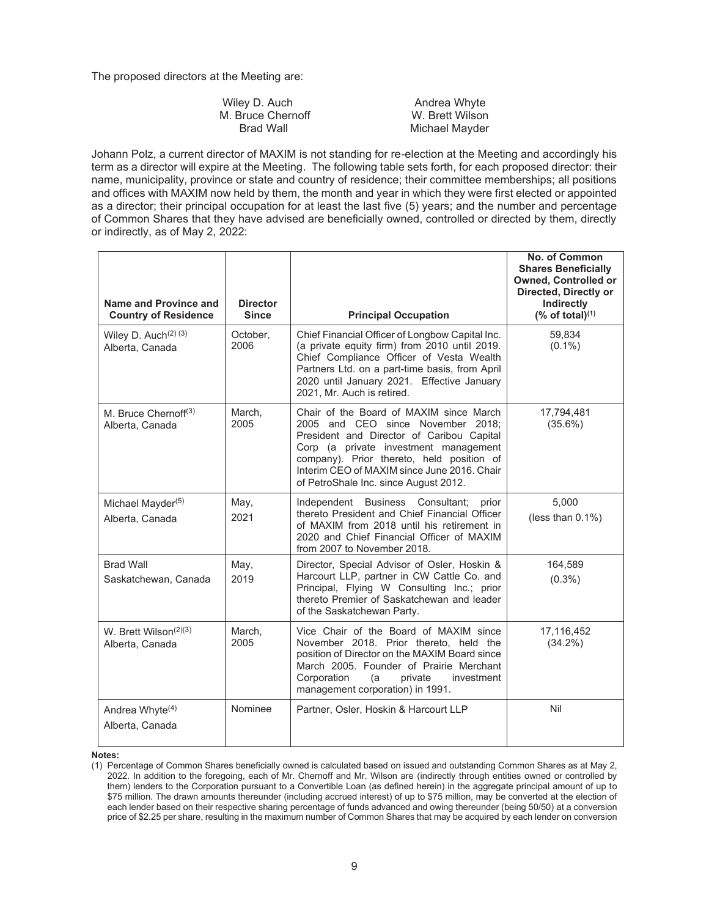The proposed directors at the Meeting are:

| Wiley D. Auch     | Andrea Whyte    |
|-------------------|-----------------|
| M. Bruce Chernoff | W. Brett Wilson |
| Brad Wall         | Michael Mayder  |

Johann Polz, a current director of MAXIM is not standing for re-election at the Meeting and accordingly his term as a director will expire at the Meeting. The following table sets forth, for each proposed director: their name, municipality, province or state and country of residence; their committee memberships; all positions and offices with MAXIM now held by them, the month and year in which they were first elected or appointed as a director; their principal occupation for at least the last five (5) years; and the number and percentage of Common Shares that they have advised are beneficially owned, controlled or directed by them, directly or indirectly, as of May 2, 2022:

| Name and Province and<br><b>Country of Residence</b> | <b>Director</b><br><b>Since</b> | <b>Principal Occupation</b>                                                                                                                                                                                                                                                                             | No. of Common<br><b>Shares Beneficially</b><br><b>Owned, Controlled or</b><br>Directed, Directly or<br>Indirectly<br>$%$ of total) $(1)$ |
|------------------------------------------------------|---------------------------------|---------------------------------------------------------------------------------------------------------------------------------------------------------------------------------------------------------------------------------------------------------------------------------------------------------|------------------------------------------------------------------------------------------------------------------------------------------|
| Wiley D. Auch <sup>(2)</sup> (3)<br>Alberta, Canada  | October.<br>2006                | Chief Financial Officer of Longbow Capital Inc.<br>(a private equity firm) from 2010 until 2019.<br>Chief Compliance Officer of Vesta Wealth<br>Partners Ltd. on a part-time basis, from April<br>2020 until January 2021. Effective January<br>2021, Mr. Auch is retired.                              | 59,834<br>$(0.1\%)$                                                                                                                      |
| M. Bruce Chernoff <sup>(3)</sup><br>Alberta, Canada  | March.<br>2005                  | Chair of the Board of MAXIM since March<br>2005 and CEO since November 2018:<br>President and Director of Caribou Capital<br>Corp (a private investment management<br>company). Prior thereto, held position of<br>Interim CEO of MAXIM since June 2016. Chair<br>of PetroShale Inc. since August 2012. | 17,794,481<br>$(35.6\%)$                                                                                                                 |
| Michael Mayder <sup>(5)</sup><br>Alberta, Canada     | May,<br>2021                    | Independent Business Consultant;<br>prior<br>thereto President and Chief Financial Officer<br>of MAXIM from 2018 until his retirement in<br>2020 and Chief Financial Officer of MAXIM<br>from 2007 to November 2018.                                                                                    | 5.000<br>(less than $0.1\%$ )                                                                                                            |
| <b>Brad Wall</b><br>Saskatchewan, Canada             | May,<br>2019                    | Director, Special Advisor of Osler, Hoskin &<br>Harcourt LLP, partner in CW Cattle Co. and<br>Principal, Flying W Consulting Inc.; prior<br>thereto Premier of Saskatchewan and leader<br>of the Saskatchewan Party.                                                                                    | 164,589<br>$(0.3\%)$                                                                                                                     |
| W. Brett Wilson $(2)(3)$<br>Alberta, Canada          | March,<br>2005                  | Vice Chair of the Board of MAXIM since<br>November 2018. Prior thereto, held the<br>position of Director on the MAXIM Board since<br>March 2005. Founder of Prairie Merchant<br>Corporation<br>private<br>investment<br>(a<br>management corporation) in 1991.                                          | 17,116,452<br>$(34.2\%)$                                                                                                                 |
| Andrea Whyte <sup>(4)</sup><br>Alberta, Canada       | Nominee                         | Partner, Osler, Hoskin & Harcourt LLP                                                                                                                                                                                                                                                                   | Nil                                                                                                                                      |

#### **Notes:**

(1) Percentage of Common Shares beneficially owned is calculated based on issued and outstanding Common Shares as at May 2, 2022. In addition to the foregoing, each of Mr. Chernoff and Mr. Wilson are (indirectly through entities owned or controlled by them) lenders to the Corporation pursuant to a Convertible Loan (as defined herein) in the aggregate principal amount of up to \$75 million. The drawn amounts thereunder (including accrued interest) of up to \$75 million, may be converted at the election of each lender based on their respective sharing percentage of funds advanced and owing thereunder (being 50/50) at a conversion price of \$2.25 per share, resulting in the maximum number of Common Shares that may be acquired by each lender on conversion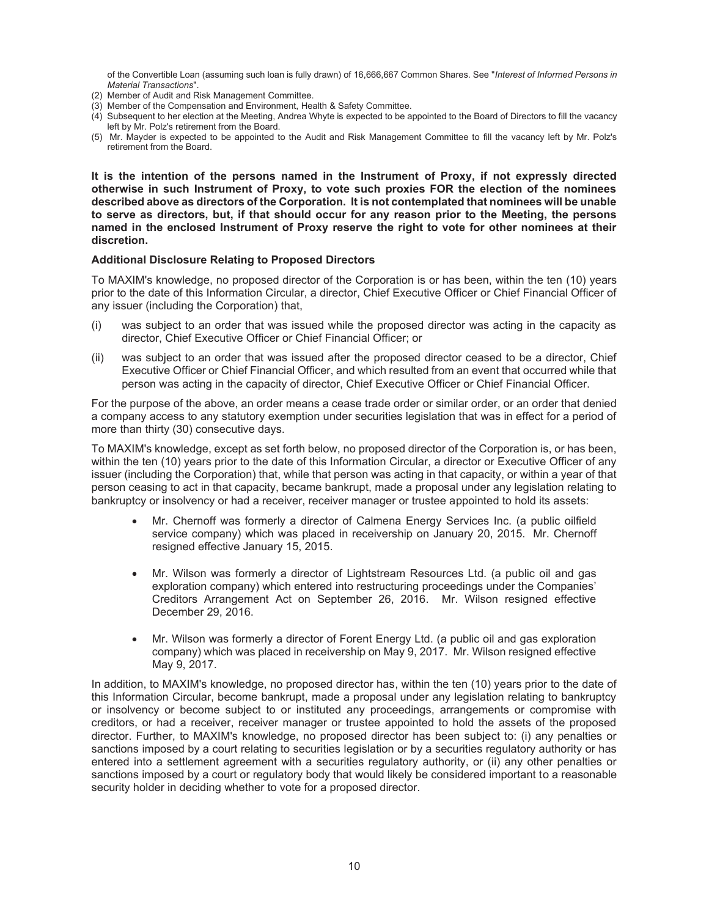of the Convertible Loan (assuming such loan is fully drawn) of 16,666,667 Common Shares. See "*Interest of Informed Persons in Material Transactions*".

- (2) Member of Audit and Risk Management Committee.
- (3) Member of the Compensation and Environment, Health & Safety Committee.
- (4) Subsequent to her election at the Meeting, Andrea Whyte is expected to be appointed to the Board of Directors to fill the vacancy left by Mr. Polz's retirement from the Board.
- (5) Mr. Mayder is expected to be appointed to the Audit and Risk Management Committee to fill the vacancy left by Mr. Polz's retirement from the Board.

**It is the intention of the persons named in the Instrument of Proxy, if not expressly directed otherwise in such Instrument of Proxy, to vote such proxies FOR the election of the nominees described above as directors of the Corporation. It is not contemplated that nominees will be unable to serve as directors, but, if that should occur for any reason prior to the Meeting, the persons named in the enclosed Instrument of Proxy reserve the right to vote for other nominees at their discretion.** 

#### **Additional Disclosure Relating to Proposed Directors**

To MAXIM's knowledge, no proposed director of the Corporation is or has been, within the ten (10) years prior to the date of this Information Circular, a director, Chief Executive Officer or Chief Financial Officer of any issuer (including the Corporation) that,

- (i) was subject to an order that was issued while the proposed director was acting in the capacity as director, Chief Executive Officer or Chief Financial Officer; or
- (ii) was subject to an order that was issued after the proposed director ceased to be a director, Chief Executive Officer or Chief Financial Officer, and which resulted from an event that occurred while that person was acting in the capacity of director, Chief Executive Officer or Chief Financial Officer.

For the purpose of the above, an order means a cease trade order or similar order, or an order that denied a company access to any statutory exemption under securities legislation that was in effect for a period of more than thirty (30) consecutive days.

To MAXIM's knowledge, except as set forth below, no proposed director of the Corporation is, or has been, within the ten (10) years prior to the date of this Information Circular, a director or Executive Officer of any issuer (including the Corporation) that, while that person was acting in that capacity, or within a year of that person ceasing to act in that capacity, became bankrupt, made a proposal under any legislation relating to bankruptcy or insolvency or had a receiver, receiver manager or trustee appointed to hold its assets:

- Mr. Chernoff was formerly a director of Calmena Energy Services Inc. (a public oilfield service company) which was placed in receivership on January 20, 2015. Mr. Chernoff resigned effective January 15, 2015.
- Mr. Wilson was formerly a director of Lightstream Resources Ltd. (a public oil and gas exploration company) which entered into restructuring proceedings under the Companies' Creditors Arrangement Act on September 26, 2016. Mr. Wilson resigned effective December 29, 2016.
- x Mr. Wilson was formerly a director of Forent Energy Ltd. (a public oil and gas exploration company) which was placed in receivership on May 9, 2017. Mr. Wilson resigned effective May 9, 2017.

In addition, to MAXIM's knowledge, no proposed director has, within the ten (10) years prior to the date of this Information Circular, become bankrupt, made a proposal under any legislation relating to bankruptcy or insolvency or become subject to or instituted any proceedings, arrangements or compromise with creditors, or had a receiver, receiver manager or trustee appointed to hold the assets of the proposed director. Further, to MAXIM's knowledge, no proposed director has been subject to: (i) any penalties or sanctions imposed by a court relating to securities legislation or by a securities regulatory authority or has entered into a settlement agreement with a securities regulatory authority, or (ii) any other penalties or sanctions imposed by a court or regulatory body that would likely be considered important to a reasonable security holder in deciding whether to vote for a proposed director.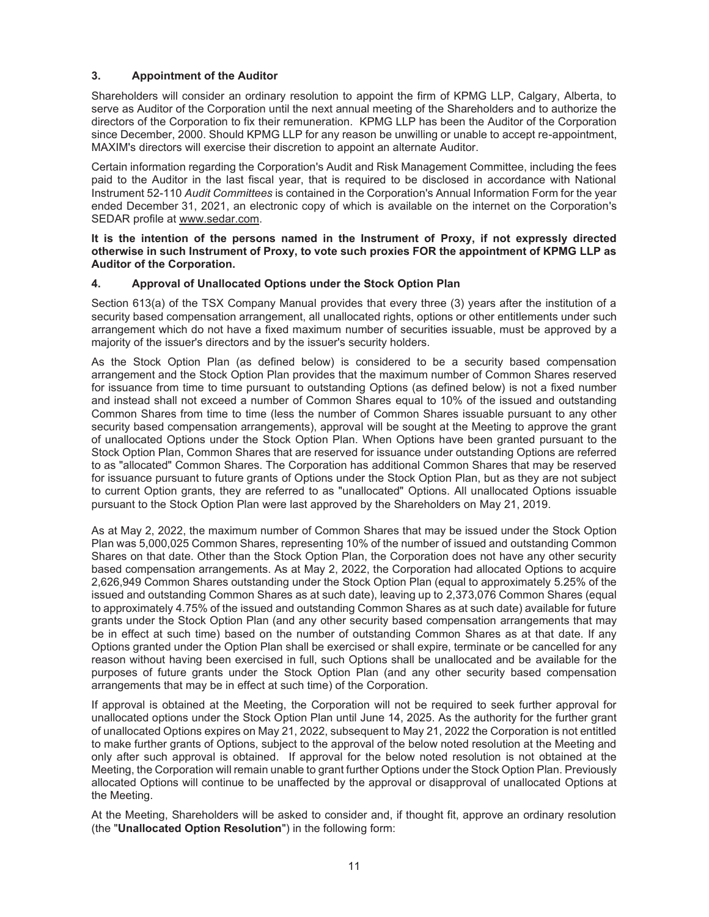## **3. Appointment of the Auditor**

Shareholders will consider an ordinary resolution to appoint the firm of KPMG LLP, Calgary, Alberta, to serve as Auditor of the Corporation until the next annual meeting of the Shareholders and to authorize the directors of the Corporation to fix their remuneration. KPMG LLP has been the Auditor of the Corporation since December, 2000. Should KPMG LLP for any reason be unwilling or unable to accept re-appointment, MAXIM's directors will exercise their discretion to appoint an alternate Auditor.

Certain information regarding the Corporation's Audit and Risk Management Committee, including the fees paid to the Auditor in the last fiscal year, that is required to be disclosed in accordance with National Instrument 52-110 *Audit Committees* is contained in the Corporation's Annual Information Form for the year ended December 31, 2021, an electronic copy of which is available on the internet on the Corporation's SEDAR profile at www.sedar.com.

## **It is the intention of the persons named in the Instrument of Proxy, if not expressly directed otherwise in such Instrument of Proxy, to vote such proxies FOR the appointment of KPMG LLP as Auditor of the Corporation.**

## **4. Approval of Unallocated Options under the Stock Option Plan**

Section 613(a) of the TSX Company Manual provides that every three (3) years after the institution of a security based compensation arrangement, all unallocated rights, options or other entitlements under such arrangement which do not have a fixed maximum number of securities issuable, must be approved by a majority of the issuer's directors and by the issuer's security holders.

As the Stock Option Plan (as defined below) is considered to be a security based compensation arrangement and the Stock Option Plan provides that the maximum number of Common Shares reserved for issuance from time to time pursuant to outstanding Options (as defined below) is not a fixed number and instead shall not exceed a number of Common Shares equal to 10% of the issued and outstanding Common Shares from time to time (less the number of Common Shares issuable pursuant to any other security based compensation arrangements), approval will be sought at the Meeting to approve the grant of unallocated Options under the Stock Option Plan. When Options have been granted pursuant to the Stock Option Plan, Common Shares that are reserved for issuance under outstanding Options are referred to as "allocated" Common Shares. The Corporation has additional Common Shares that may be reserved for issuance pursuant to future grants of Options under the Stock Option Plan, but as they are not subject to current Option grants, they are referred to as "unallocated" Options. All unallocated Options issuable pursuant to the Stock Option Plan were last approved by the Shareholders on May 21, 2019.

As at May 2, 2022, the maximum number of Common Shares that may be issued under the Stock Option Plan was 5,000,025 Common Shares, representing 10% of the number of issued and outstanding Common Shares on that date. Other than the Stock Option Plan, the Corporation does not have any other security based compensation arrangements. As at May 2, 2022, the Corporation had allocated Options to acquire 2,626,949 Common Shares outstanding under the Stock Option Plan (equal to approximately 5.25% of the issued and outstanding Common Shares as at such date), leaving up to 2,373,076 Common Shares (equal to approximately 4.75% of the issued and outstanding Common Shares as at such date) available for future grants under the Stock Option Plan (and any other security based compensation arrangements that may be in effect at such time) based on the number of outstanding Common Shares as at that date. If any Options granted under the Option Plan shall be exercised or shall expire, terminate or be cancelled for any reason without having been exercised in full, such Options shall be unallocated and be available for the purposes of future grants under the Stock Option Plan (and any other security based compensation arrangements that may be in effect at such time) of the Corporation.

If approval is obtained at the Meeting, the Corporation will not be required to seek further approval for unallocated options under the Stock Option Plan until June 14, 2025. As the authority for the further grant of unallocated Options expires on May 21, 2022, subsequent to May 21, 2022 the Corporation is not entitled to make further grants of Options, subject to the approval of the below noted resolution at the Meeting and only after such approval is obtained. If approval for the below noted resolution is not obtained at the Meeting, the Corporation will remain unable to grant further Options under the Stock Option Plan. Previously allocated Options will continue to be unaffected by the approval or disapproval of unallocated Options at the Meeting.

At the Meeting, Shareholders will be asked to consider and, if thought fit, approve an ordinary resolution (the "**Unallocated Option Resolution**") in the following form: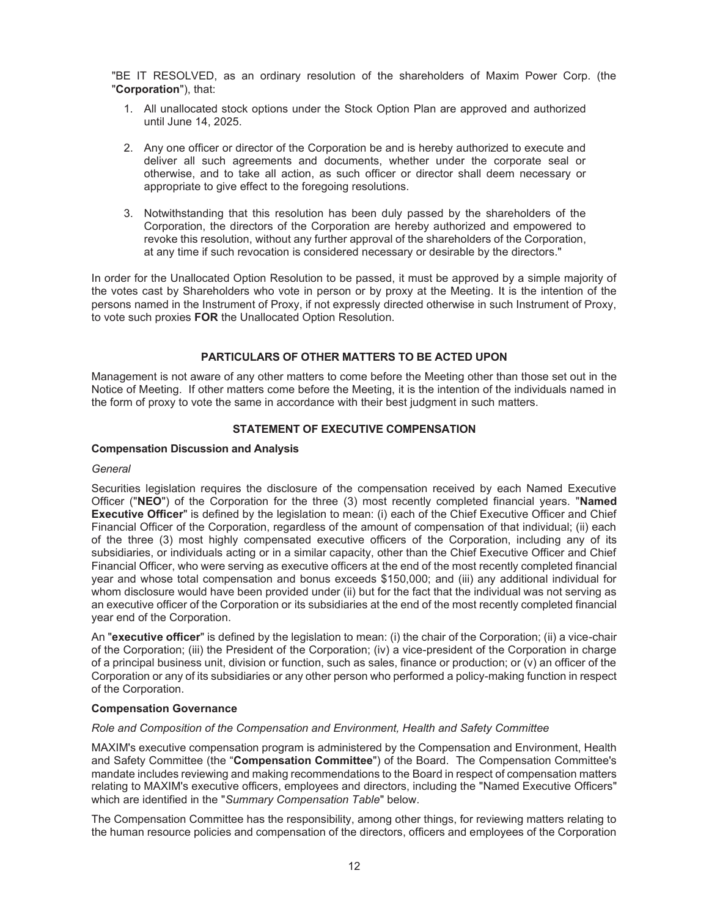"BE IT RESOLVED, as an ordinary resolution of the shareholders of Maxim Power Corp. (the "**Corporation**"), that:

- 1. All unallocated stock options under the Stock Option Plan are approved and authorized until June 14, 2025.
- 2. Any one officer or director of the Corporation be and is hereby authorized to execute and deliver all such agreements and documents, whether under the corporate seal or otherwise, and to take all action, as such officer or director shall deem necessary or appropriate to give effect to the foregoing resolutions.
- 3. Notwithstanding that this resolution has been duly passed by the shareholders of the Corporation, the directors of the Corporation are hereby authorized and empowered to revoke this resolution, without any further approval of the shareholders of the Corporation, at any time if such revocation is considered necessary or desirable by the directors."

In order for the Unallocated Option Resolution to be passed, it must be approved by a simple majority of the votes cast by Shareholders who vote in person or by proxy at the Meeting. It is the intention of the persons named in the Instrument of Proxy, if not expressly directed otherwise in such Instrument of Proxy, to vote such proxies **FOR** the Unallocated Option Resolution.

## **PARTICULARS OF OTHER MATTERS TO BE ACTED UPON**

Management is not aware of any other matters to come before the Meeting other than those set out in the Notice of Meeting. If other matters come before the Meeting, it is the intention of the individuals named in the form of proxy to vote the same in accordance with their best judgment in such matters.

## **STATEMENT OF EXECUTIVE COMPENSATION**

#### **Compensation Discussion and Analysis**

#### *General*

Securities legislation requires the disclosure of the compensation received by each Named Executive Officer ("**NEO**") of the Corporation for the three (3) most recently completed financial years. "**Named Executive Officer**" is defined by the legislation to mean: (i) each of the Chief Executive Officer and Chief Financial Officer of the Corporation, regardless of the amount of compensation of that individual; (ii) each of the three (3) most highly compensated executive officers of the Corporation, including any of its subsidiaries, or individuals acting or in a similar capacity, other than the Chief Executive Officer and Chief Financial Officer, who were serving as executive officers at the end of the most recently completed financial year and whose total compensation and bonus exceeds \$150,000; and (iii) any additional individual for whom disclosure would have been provided under (ii) but for the fact that the individual was not serving as an executive officer of the Corporation or its subsidiaries at the end of the most recently completed financial year end of the Corporation.

An "**executive officer**" is defined by the legislation to mean: (i) the chair of the Corporation; (ii) a vice-chair of the Corporation; (iii) the President of the Corporation; (iv) a vice-president of the Corporation in charge of a principal business unit, division or function, such as sales, finance or production; or (v) an officer of the Corporation or any of its subsidiaries or any other person who performed a policy-making function in respect of the Corporation.

#### **Compensation Governance**

#### *Role and Composition of the Compensation and Environment, Health and Safety Committee*

MAXIM's executive compensation program is administered by the Compensation and Environment, Health and Safety Committee (the "**Compensation Committee**") of the Board. The Compensation Committee's mandate includes reviewing and making recommendations to the Board in respect of compensation matters relating to MAXIM's executive officers, employees and directors, including the "Named Executive Officers" which are identified in the "*Summary Compensation Table*" below.

The Compensation Committee has the responsibility, among other things, for reviewing matters relating to the human resource policies and compensation of the directors, officers and employees of the Corporation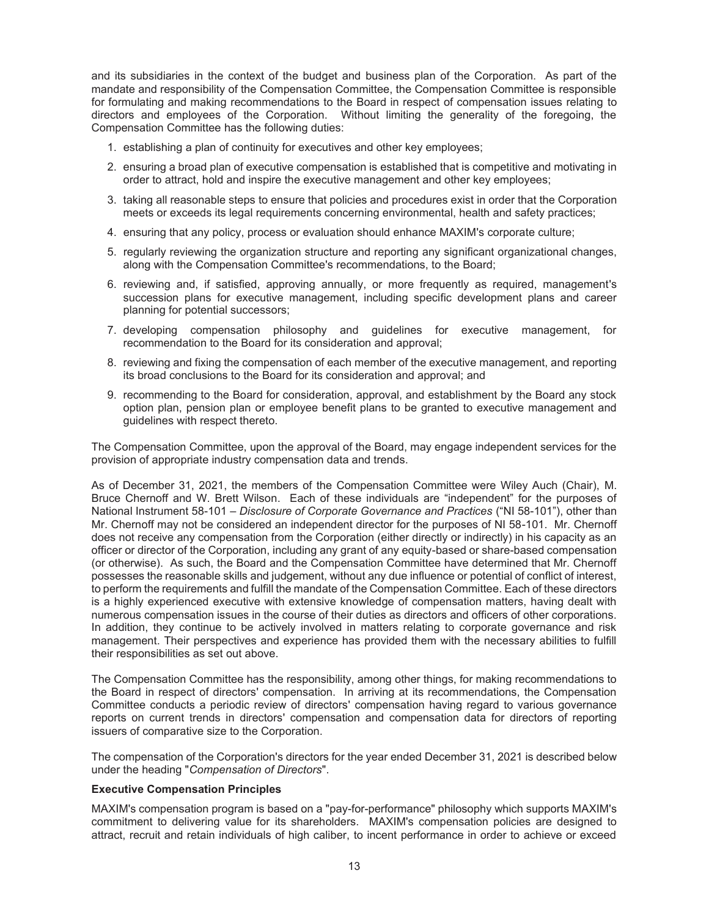and its subsidiaries in the context of the budget and business plan of the Corporation. As part of the mandate and responsibility of the Compensation Committee, the Compensation Committee is responsible for formulating and making recommendations to the Board in respect of compensation issues relating to directors and employees of the Corporation. Without limiting the generality of the foregoing, the Compensation Committee has the following duties:

- 1. establishing a plan of continuity for executives and other key employees;
- 2. ensuring a broad plan of executive compensation is established that is competitive and motivating in order to attract, hold and inspire the executive management and other key employees;
- 3. taking all reasonable steps to ensure that policies and procedures exist in order that the Corporation meets or exceeds its legal requirements concerning environmental, health and safety practices;
- 4. ensuring that any policy, process or evaluation should enhance MAXIM's corporate culture;
- 5. regularly reviewing the organization structure and reporting any significant organizational changes, along with the Compensation Committee's recommendations, to the Board;
- 6. reviewing and, if satisfied, approving annually, or more frequently as required, management's succession plans for executive management, including specific development plans and career planning for potential successors;
- 7. developing compensation philosophy and guidelines for executive management, for recommendation to the Board for its consideration and approval;
- 8. reviewing and fixing the compensation of each member of the executive management, and reporting its broad conclusions to the Board for its consideration and approval; and
- 9. recommending to the Board for consideration, approval, and establishment by the Board any stock option plan, pension plan or employee benefit plans to be granted to executive management and guidelines with respect thereto.

The Compensation Committee, upon the approval of the Board, may engage independent services for the provision of appropriate industry compensation data and trends.

As of December 31, 2021, the members of the Compensation Committee were Wiley Auch (Chair), M. Bruce Chernoff and W. Brett Wilson. Each of these individuals are "independent" for the purposes of National Instrument 58-101 – *Disclosure of Corporate Governance and Practices* ("NI 58-101"), other than Mr. Chernoff may not be considered an independent director for the purposes of NI 58-101. Mr. Chernoff does not receive any compensation from the Corporation (either directly or indirectly) in his capacity as an officer or director of the Corporation, including any grant of any equity-based or share-based compensation (or otherwise). As such, the Board and the Compensation Committee have determined that Mr. Chernoff possesses the reasonable skills and judgement, without any due influence or potential of conflict of interest, to perform the requirements and fulfill the mandate of the Compensation Committee. Each of these directors is a highly experienced executive with extensive knowledge of compensation matters, having dealt with numerous compensation issues in the course of their duties as directors and officers of other corporations. In addition, they continue to be actively involved in matters relating to corporate governance and risk management. Their perspectives and experience has provided them with the necessary abilities to fulfill their responsibilities as set out above.

The Compensation Committee has the responsibility, among other things, for making recommendations to the Board in respect of directors' compensation. In arriving at its recommendations, the Compensation Committee conducts a periodic review of directors' compensation having regard to various governance reports on current trends in directors' compensation and compensation data for directors of reporting issuers of comparative size to the Corporation.

The compensation of the Corporation's directors for the year ended December 31, 2021 is described below under the heading "*Compensation of Directors*".

#### **Executive Compensation Principles**

MAXIM's compensation program is based on a "pay-for-performance" philosophy which supports MAXIM's commitment to delivering value for its shareholders. MAXIM's compensation policies are designed to attract, recruit and retain individuals of high caliber, to incent performance in order to achieve or exceed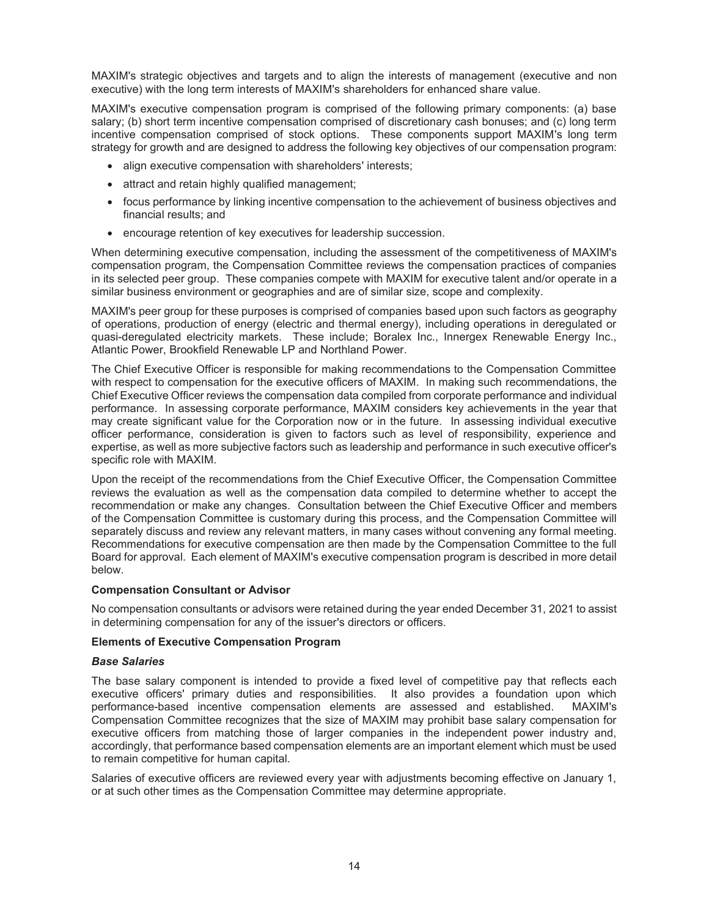MAXIM's strategic objectives and targets and to align the interests of management (executive and non executive) with the long term interests of MAXIM's shareholders for enhanced share value.

MAXIM's executive compensation program is comprised of the following primary components: (a) base salary; (b) short term incentive compensation comprised of discretionary cash bonuses; and (c) long term incentive compensation comprised of stock options. These components support MAXIM's long term strategy for growth and are designed to address the following key objectives of our compensation program:

- align executive compensation with shareholders' interests;
- attract and retain highly qualified management;
- focus performance by linking incentive compensation to the achievement of business objectives and financial results; and
- encourage retention of key executives for leadership succession.

When determining executive compensation, including the assessment of the competitiveness of MAXIM's compensation program, the Compensation Committee reviews the compensation practices of companies in its selected peer group. These companies compete with MAXIM for executive talent and/or operate in a similar business environment or geographies and are of similar size, scope and complexity.

MAXIM's peer group for these purposes is comprised of companies based upon such factors as geography of operations, production of energy (electric and thermal energy), including operations in deregulated or quasi-deregulated electricity markets. These include; Boralex Inc., Innergex Renewable Energy Inc., Atlantic Power, Brookfield Renewable LP and Northland Power.

The Chief Executive Officer is responsible for making recommendations to the Compensation Committee with respect to compensation for the executive officers of MAXIM. In making such recommendations, the Chief Executive Officer reviews the compensation data compiled from corporate performance and individual performance. In assessing corporate performance, MAXIM considers key achievements in the year that may create significant value for the Corporation now or in the future. In assessing individual executive officer performance, consideration is given to factors such as level of responsibility, experience and expertise, as well as more subjective factors such as leadership and performance in such executive officer's specific role with MAXIM.

Upon the receipt of the recommendations from the Chief Executive Officer, the Compensation Committee reviews the evaluation as well as the compensation data compiled to determine whether to accept the recommendation or make any changes. Consultation between the Chief Executive Officer and members of the Compensation Committee is customary during this process, and the Compensation Committee will separately discuss and review any relevant matters, in many cases without convening any formal meeting. Recommendations for executive compensation are then made by the Compensation Committee to the full Board for approval. Each element of MAXIM's executive compensation program is described in more detail below.

## **Compensation Consultant or Advisor**

No compensation consultants or advisors were retained during the year ended December 31, 2021 to assist in determining compensation for any of the issuer's directors or officers.

## **Elements of Executive Compensation Program**

#### *Base Salaries*

The base salary component is intended to provide a fixed level of competitive pay that reflects each executive officers' primary duties and responsibilities. It also provides a foundation upon which performance-based incentive compensation elements are assessed and established. MAXIM's Compensation Committee recognizes that the size of MAXIM may prohibit base salary compensation for executive officers from matching those of larger companies in the independent power industry and, accordingly, that performance based compensation elements are an important element which must be used to remain competitive for human capital.

Salaries of executive officers are reviewed every year with adjustments becoming effective on January 1, or at such other times as the Compensation Committee may determine appropriate.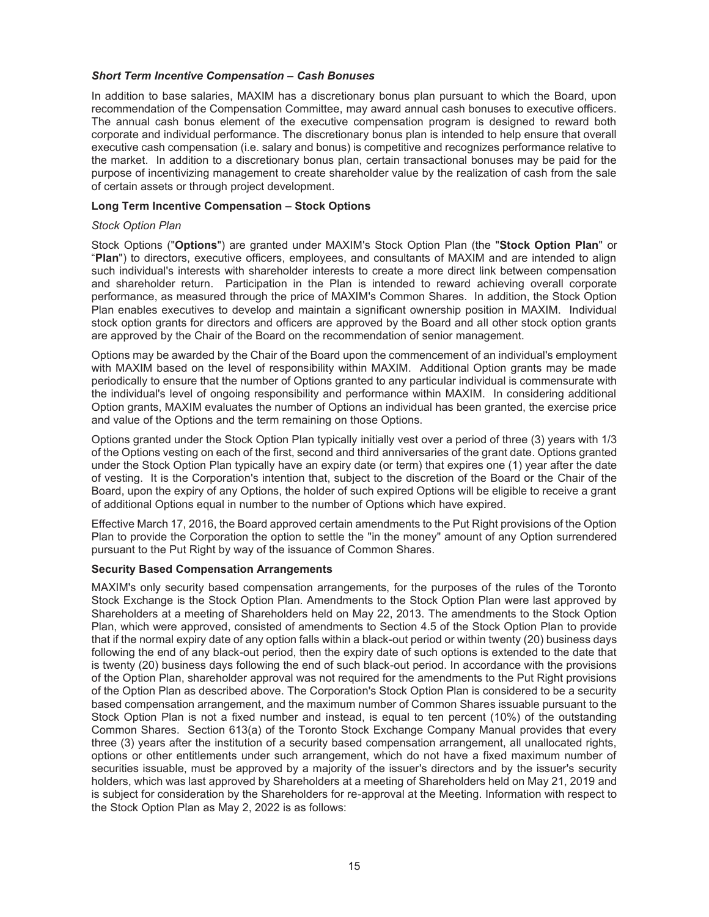#### *Short Term Incentive Compensation – Cash Bonuses*

In addition to base salaries, MAXIM has a discretionary bonus plan pursuant to which the Board, upon recommendation of the Compensation Committee, may award annual cash bonuses to executive officers. The annual cash bonus element of the executive compensation program is designed to reward both corporate and individual performance. The discretionary bonus plan is intended to help ensure that overall executive cash compensation (i.e. salary and bonus) is competitive and recognizes performance relative to the market. In addition to a discretionary bonus plan, certain transactional bonuses may be paid for the purpose of incentivizing management to create shareholder value by the realization of cash from the sale of certain assets or through project development.

## **Long Term Incentive Compensation – Stock Options**

#### *Stock Option Plan*

Stock Options ("**Options**") are granted under MAXIM's Stock Option Plan (the "**Stock Option Plan**" or "**Plan**") to directors, executive officers, employees, and consultants of MAXIM and are intended to align such individual's interests with shareholder interests to create a more direct link between compensation and shareholder return. Participation in the Plan is intended to reward achieving overall corporate performance, as measured through the price of MAXIM's Common Shares. In addition, the Stock Option Plan enables executives to develop and maintain a significant ownership position in MAXIM. Individual stock option grants for directors and officers are approved by the Board and all other stock option grants are approved by the Chair of the Board on the recommendation of senior management.

Options may be awarded by the Chair of the Board upon the commencement of an individual's employment with MAXIM based on the level of responsibility within MAXIM. Additional Option grants may be made periodically to ensure that the number of Options granted to any particular individual is commensurate with the individual's level of ongoing responsibility and performance within MAXIM. In considering additional Option grants, MAXIM evaluates the number of Options an individual has been granted, the exercise price and value of the Options and the term remaining on those Options.

Options granted under the Stock Option Plan typically initially vest over a period of three (3) years with 1/3 of the Options vesting on each of the first, second and third anniversaries of the grant date. Options granted under the Stock Option Plan typically have an expiry date (or term) that expires one (1) year after the date of vesting. It is the Corporation's intention that, subject to the discretion of the Board or the Chair of the Board, upon the expiry of any Options, the holder of such expired Options will be eligible to receive a grant of additional Options equal in number to the number of Options which have expired.

Effective March 17, 2016, the Board approved certain amendments to the Put Right provisions of the Option Plan to provide the Corporation the option to settle the "in the money" amount of any Option surrendered pursuant to the Put Right by way of the issuance of Common Shares.

## **Security Based Compensation Arrangements**

MAXIM's only security based compensation arrangements, for the purposes of the rules of the Toronto Stock Exchange is the Stock Option Plan. Amendments to the Stock Option Plan were last approved by Shareholders at a meeting of Shareholders held on May 22, 2013. The amendments to the Stock Option Plan, which were approved, consisted of amendments to Section 4.5 of the Stock Option Plan to provide that if the normal expiry date of any option falls within a black-out period or within twenty (20) business days following the end of any black-out period, then the expiry date of such options is extended to the date that is twenty (20) business days following the end of such black-out period. In accordance with the provisions of the Option Plan, shareholder approval was not required for the amendments to the Put Right provisions of the Option Plan as described above. The Corporation's Stock Option Plan is considered to be a security based compensation arrangement, and the maximum number of Common Shares issuable pursuant to the Stock Option Plan is not a fixed number and instead, is equal to ten percent (10%) of the outstanding Common Shares. Section 613(a) of the Toronto Stock Exchange Company Manual provides that every three (3) years after the institution of a security based compensation arrangement, all unallocated rights, options or other entitlements under such arrangement, which do not have a fixed maximum number of securities issuable, must be approved by a majority of the issuer's directors and by the issuer's security holders, which was last approved by Shareholders at a meeting of Shareholders held on May 21, 2019 and is subject for consideration by the Shareholders for re-approval at the Meeting. Information with respect to the Stock Option Plan as May 2, 2022 is as follows: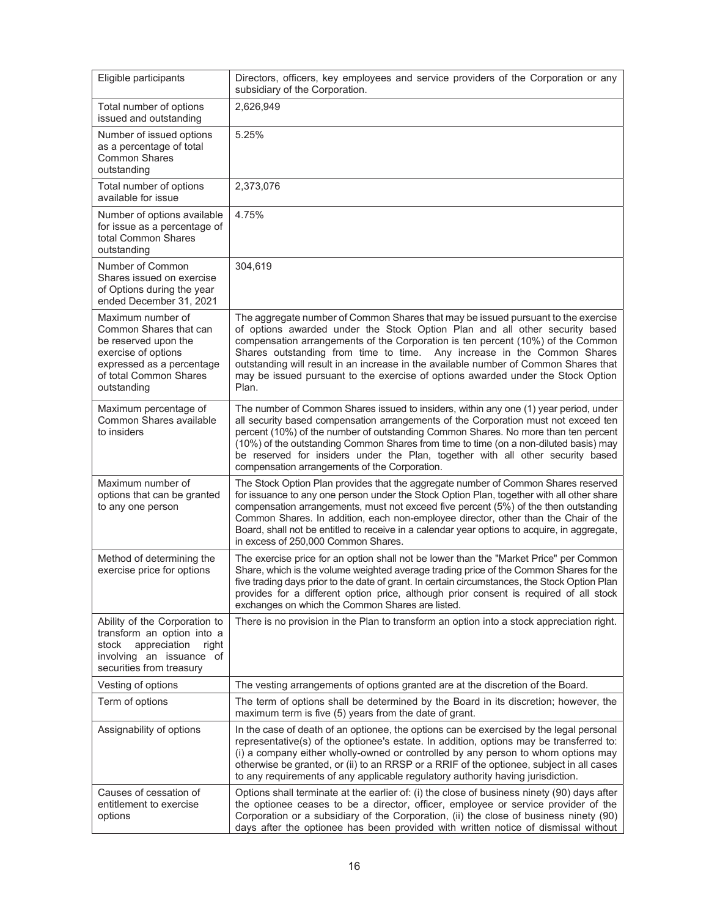| Eligible participants                                                                                                                                            | Directors, officers, key employees and service providers of the Corporation or any<br>subsidiary of the Corporation.                                                                                                                                                                                                                                                                                                                                                                                                |
|------------------------------------------------------------------------------------------------------------------------------------------------------------------|---------------------------------------------------------------------------------------------------------------------------------------------------------------------------------------------------------------------------------------------------------------------------------------------------------------------------------------------------------------------------------------------------------------------------------------------------------------------------------------------------------------------|
| Total number of options<br>issued and outstanding                                                                                                                | 2,626,949                                                                                                                                                                                                                                                                                                                                                                                                                                                                                                           |
| Number of issued options<br>as a percentage of total<br><b>Common Shares</b><br>outstanding                                                                      | 5.25%                                                                                                                                                                                                                                                                                                                                                                                                                                                                                                               |
| Total number of options<br>available for issue                                                                                                                   | 2,373,076                                                                                                                                                                                                                                                                                                                                                                                                                                                                                                           |
| Number of options available<br>for issue as a percentage of<br>total Common Shares<br>outstanding                                                                | 4.75%                                                                                                                                                                                                                                                                                                                                                                                                                                                                                                               |
| Number of Common<br>Shares issued on exercise<br>of Options during the year<br>ended December 31, 2021                                                           | 304,619                                                                                                                                                                                                                                                                                                                                                                                                                                                                                                             |
| Maximum number of<br>Common Shares that can<br>be reserved upon the<br>exercise of options<br>expressed as a percentage<br>of total Common Shares<br>outstanding | The aggregate number of Common Shares that may be issued pursuant to the exercise<br>of options awarded under the Stock Option Plan and all other security based<br>compensation arrangements of the Corporation is ten percent (10%) of the Common<br>Shares outstanding from time to time. Any increase in the Common Shares<br>outstanding will result in an increase in the available number of Common Shares that<br>may be issued pursuant to the exercise of options awarded under the Stock Option<br>Plan. |
| Maximum percentage of<br>Common Shares available<br>to insiders                                                                                                  | The number of Common Shares issued to insiders, within any one (1) year period, under<br>all security based compensation arrangements of the Corporation must not exceed ten<br>percent (10%) of the number of outstanding Common Shares. No more than ten percent<br>(10%) of the outstanding Common Shares from time to time (on a non-diluted basis) may<br>be reserved for insiders under the Plan, together with all other security based<br>compensation arrangements of the Corporation.                     |
| Maximum number of<br>options that can be granted<br>to any one person                                                                                            | The Stock Option Plan provides that the aggregate number of Common Shares reserved<br>for issuance to any one person under the Stock Option Plan, together with all other share<br>compensation arrangements, must not exceed five percent (5%) of the then outstanding<br>Common Shares. In addition, each non-employee director, other than the Chair of the<br>Board, shall not be entitled to receive in a calendar year options to acquire, in aggregate,<br>in excess of 250,000 Common Shares.               |
| Method of determining the<br>exercise price for options                                                                                                          | The exercise price for an option shall not be lower than the "Market Price" per Common<br>Share, which is the volume weighted average trading price of the Common Shares for the<br>five trading days prior to the date of grant. In certain circumstances, the Stock Option Plan<br>provides for a different option price, although prior consent is required of all stock<br>exchanges on which the Common Shares are listed.                                                                                     |
| Ability of the Corporation to<br>transform an option into a<br>appreciation<br>right<br>stock<br>involving an issuance of<br>securities from treasury            | There is no provision in the Plan to transform an option into a stock appreciation right.                                                                                                                                                                                                                                                                                                                                                                                                                           |
| Vesting of options                                                                                                                                               | The vesting arrangements of options granted are at the discretion of the Board.                                                                                                                                                                                                                                                                                                                                                                                                                                     |
| Term of options                                                                                                                                                  | The term of options shall be determined by the Board in its discretion; however, the<br>maximum term is five (5) years from the date of grant.                                                                                                                                                                                                                                                                                                                                                                      |
| Assignability of options                                                                                                                                         | In the case of death of an optionee, the options can be exercised by the legal personal<br>representative(s) of the optionee's estate. In addition, options may be transferred to:<br>(i) a company either wholly-owned or controlled by any person to whom options may<br>otherwise be granted, or (ii) to an RRSP or a RRIF of the optionee, subject in all cases<br>to any requirements of any applicable regulatory authority having jurisdiction.                                                              |
| Causes of cessation of<br>entitlement to exercise<br>options                                                                                                     | Options shall terminate at the earlier of: (i) the close of business ninety (90) days after<br>the optionee ceases to be a director, officer, employee or service provider of the<br>Corporation or a subsidiary of the Corporation, (ii) the close of business ninety (90)<br>days after the optionee has been provided with written notice of dismissal without                                                                                                                                                   |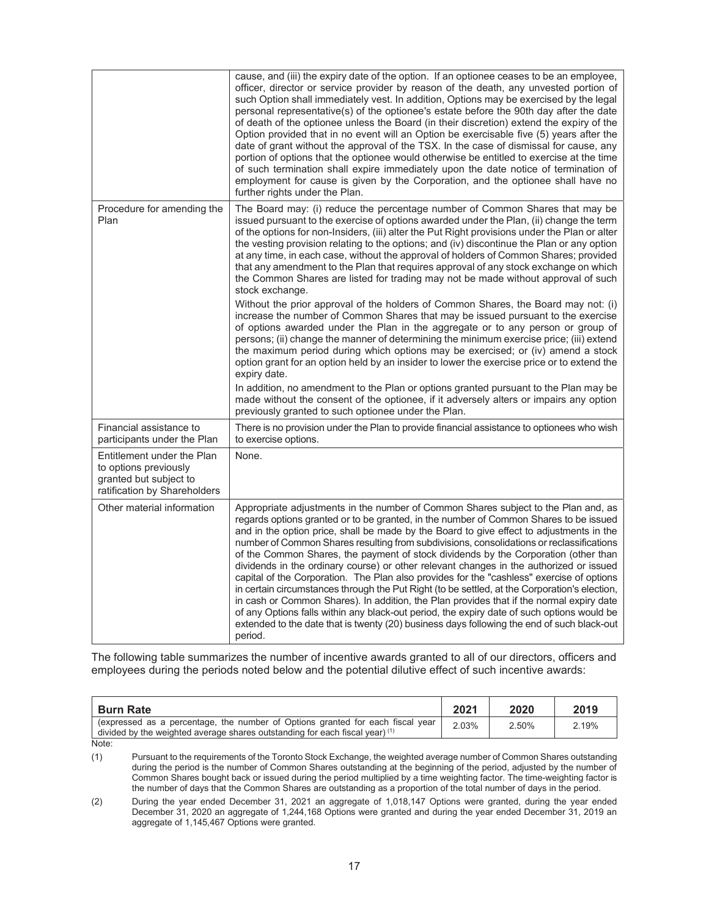|                                                                                                               | cause, and (iii) the expiry date of the option. If an optionee ceases to be an employee,<br>officer, director or service provider by reason of the death, any unvested portion of<br>such Option shall immediately vest. In addition, Options may be exercised by the legal<br>personal representative(s) of the optionee's estate before the 90th day after the date<br>of death of the optionee unless the Board (in their discretion) extend the expiry of the<br>Option provided that in no event will an Option be exercisable five (5) years after the<br>date of grant without the approval of the TSX. In the case of dismissal for cause, any<br>portion of options that the optionee would otherwise be entitled to exercise at the time<br>of such termination shall expire immediately upon the date notice of termination of<br>employment for cause is given by the Corporation, and the optionee shall have no<br>further rights under the Plan.                                                                                        |
|---------------------------------------------------------------------------------------------------------------|--------------------------------------------------------------------------------------------------------------------------------------------------------------------------------------------------------------------------------------------------------------------------------------------------------------------------------------------------------------------------------------------------------------------------------------------------------------------------------------------------------------------------------------------------------------------------------------------------------------------------------------------------------------------------------------------------------------------------------------------------------------------------------------------------------------------------------------------------------------------------------------------------------------------------------------------------------------------------------------------------------------------------------------------------------|
| Procedure for amending the<br>Plan                                                                            | The Board may: (i) reduce the percentage number of Common Shares that may be<br>issued pursuant to the exercise of options awarded under the Plan, (ii) change the term<br>of the options for non-Insiders, (iii) alter the Put Right provisions under the Plan or alter<br>the vesting provision relating to the options; and (iv) discontinue the Plan or any option<br>at any time, in each case, without the approval of holders of Common Shares; provided<br>that any amendment to the Plan that requires approval of any stock exchange on which<br>the Common Shares are listed for trading may not be made without approval of such<br>stock exchange.<br>Without the prior approval of the holders of Common Shares, the Board may not: (i)                                                                                                                                                                                                                                                                                                  |
|                                                                                                               | increase the number of Common Shares that may be issued pursuant to the exercise<br>of options awarded under the Plan in the aggregate or to any person or group of<br>persons; (ii) change the manner of determining the minimum exercise price; (iii) extend<br>the maximum period during which options may be exercised; or (iv) amend a stock<br>option grant for an option held by an insider to lower the exercise price or to extend the<br>expiry date.<br>In addition, no amendment to the Plan or options granted pursuant to the Plan may be                                                                                                                                                                                                                                                                                                                                                                                                                                                                                                |
|                                                                                                               | made without the consent of the optionee, if it adversely alters or impairs any option<br>previously granted to such optionee under the Plan.                                                                                                                                                                                                                                                                                                                                                                                                                                                                                                                                                                                                                                                                                                                                                                                                                                                                                                          |
| Financial assistance to<br>participants under the Plan                                                        | There is no provision under the Plan to provide financial assistance to optionees who wish<br>to exercise options.                                                                                                                                                                                                                                                                                                                                                                                                                                                                                                                                                                                                                                                                                                                                                                                                                                                                                                                                     |
| Entitlement under the Plan<br>to options previously<br>granted but subject to<br>ratification by Shareholders | None.                                                                                                                                                                                                                                                                                                                                                                                                                                                                                                                                                                                                                                                                                                                                                                                                                                                                                                                                                                                                                                                  |
| Other material information                                                                                    | Appropriate adjustments in the number of Common Shares subject to the Plan and, as<br>regards options granted or to be granted, in the number of Common Shares to be issued<br>and in the option price, shall be made by the Board to give effect to adjustments in the<br>number of Common Shares resulting from subdivisions, consolidations or reclassifications<br>of the Common Shares, the payment of stock dividends by the Corporation (other than<br>dividends in the ordinary course) or other relevant changes in the authorized or issued<br>capital of the Corporation. The Plan also provides for the "cashless" exercise of options<br>in certain circumstances through the Put Right (to be settled, at the Corporation's election,<br>in cash or Common Shares). In addition, the Plan provides that if the normal expiry date<br>of any Options falls within any black-out period, the expiry date of such options would be<br>extended to the date that is twenty (20) business days following the end of such black-out<br>period. |

The following table summarizes the number of incentive awards granted to all of our directors, officers and employees during the periods noted below and the potential dilutive effect of such incentive awards:

| <b>Burn Rate</b>                                                                                                                                                 | 202'  | 2020  | 2019  |
|------------------------------------------------------------------------------------------------------------------------------------------------------------------|-------|-------|-------|
| (expressed as a percentage, the number of Options granted for each fiscal year<br>divided by the weighted average shares outstanding for each fiscal year) $(1)$ | 2.03% | 2.50% | 2.19% |
| Note:                                                                                                                                                            |       |       |       |

(1) Pursuant to the requirements of the Toronto Stock Exchange, the weighted average number of Common Shares outstanding during the period is the number of Common Shares outstanding at the beginning of the period, adjusted by the number of Common Shares bought back or issued during the period multiplied by a time weighting factor. The time-weighting factor is the number of days that the Common Shares are outstanding as a proportion of the total number of days in the period.

(2) During the year ended December 31, 2021 an aggregate of 1,018,147 Options were granted, during the year ended December 31, 2020 an aggregate of 1,244,168 Options were granted and during the year ended December 31, 2019 an aggregate of 1,145,467 Options were granted.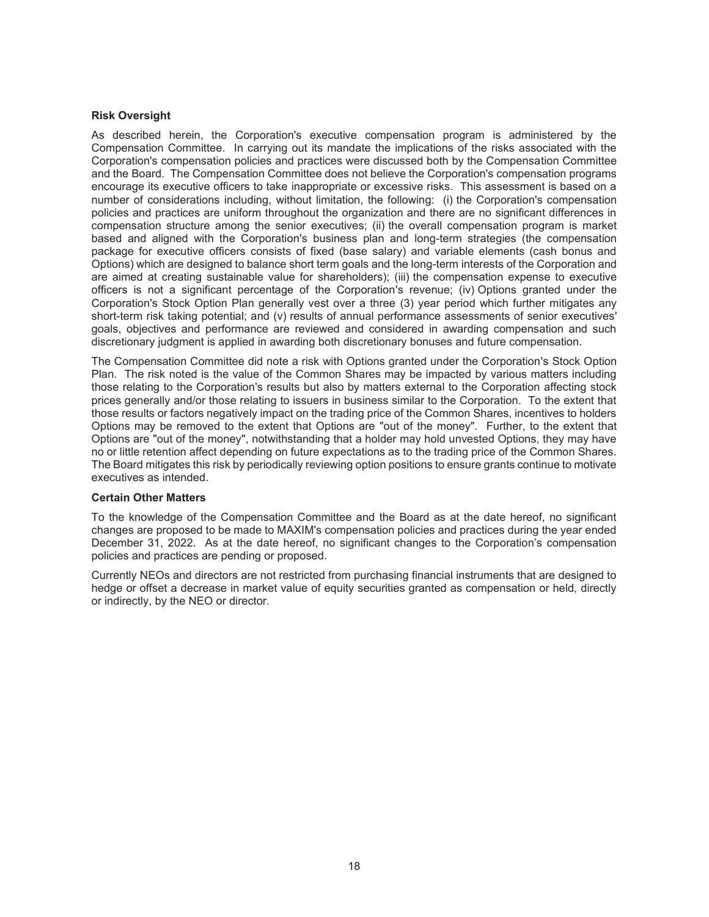#### **Risk Oversight**

As described herein, the Corporation's executive compensation program is administered by the Compensation Committee. In carrying out its mandate the implications of the risks associated with the Corporation's compensation policies and practices were discussed both by the Compensation Committee and the Board. The Compensation Committee does not believe the Corporation's compensation programs encourage its executive officers to take inappropriate or excessive risks. This assessment is based on a number of considerations including, without limitation, the following: (i) the Corporation's compensation policies and practices are uniform throughout the organization and there are no significant differences in compensation structure among the senior executives; (ii) the overall compensation program is market based and aligned with the Corporation's business plan and long-term strategies (the compensation package for executive officers consists of fixed (base salary) and variable elements (cash bonus and Options) which are designed to balance short term goals and the long-term interests of the Corporation and are aimed at creating sustainable value for shareholders); (iii) the compensation expense to executive officers is not a significant percentage of the Corporation's revenue; (iv) Options granted under the Corporation's Stock Option Plan generally vest over a three (3) year period which further mitigates any short-term risk taking potential; and (v) results of annual performance assessments of senior executives' goals, objectives and performance are reviewed and considered in awarding compensation and such discretionary judgment is applied in awarding both discretionary bonuses and future compensation.

The Compensation Committee did note a risk with Options granted under the Corporation's Stock Option Plan. The risk noted is the value of the Common Shares may be impacted by various matters including those relating to the Corporation's results but also by matters external to the Corporation affecting stock prices generally and/or those relating to issuers in business similar to the Corporation. To the extent that those results or factors negatively impact on the trading price of the Common Shares, incentives to holders Options may be removed to the extent that Options are "out of the money". Further, to the extent that Options are "out of the money", notwithstanding that a holder may hold unvested Options, they may have no or little retention affect depending on future expectations as to the trading price of the Common Shares. The Board mitigates this risk by periodically reviewing option positions to ensure grants continue to motivate executives as intended.

## **Certain Other Matters**

To the knowledge of the Compensation Committee and the Board as at the date hereof, no significant changes are proposed to be made to MAXIM's compensation policies and practices during the year ended December 31, 2022. As at the date hereof, no significant changes to the Corporation's compensation policies and practices are pending or proposed.

Currently NEOs and directors are not restricted from purchasing financial instruments that are designed to hedge or offset a decrease in market value of equity securities granted as compensation or held, directly or indirectly, by the NEO or director.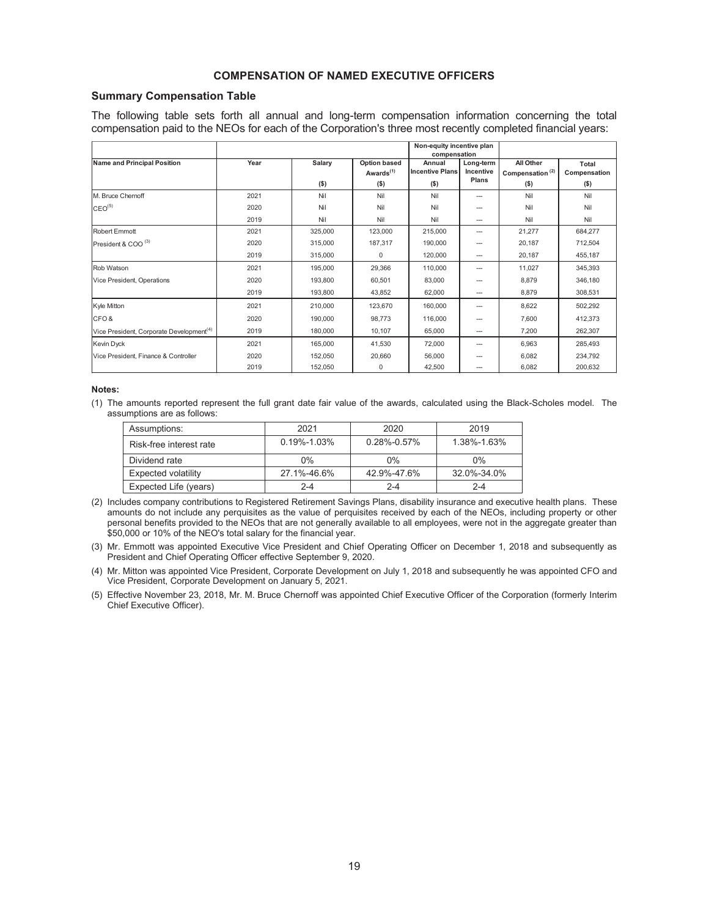## **COMPENSATION OF NAMED EXECUTIVE OFFICERS**

#### **Summary Compensation Table**

The following table sets forth all annual and long-term compensation information concerning the total compensation paid to the NEOs for each of the Corporation's three most recently completed financial years:

|                                                      |      |                   | Non-equity incentive plan<br>compensation        |                                             |                                 |                                                     |                                  |
|------------------------------------------------------|------|-------------------|--------------------------------------------------|---------------------------------------------|---------------------------------|-----------------------------------------------------|----------------------------------|
| Name and Principal Position                          | Year | Salary<br>$($ \$) | Option based<br>Awards <sup>(1)</sup><br>$($ \$) | Annual<br><b>Incentive Plans</b><br>$($ \$) | Long-term<br>Incentive<br>Plans | All Other<br>Compensation <sup>(2)</sup><br>$($ \$) | Total<br>Compensation<br>$($ \$) |
| M. Bruce Chernoff                                    | 2021 | Nil               | Nil                                              | Nil                                         | ---                             | Nil                                                 | Nil                              |
| CEO <sup>(5)</sup>                                   | 2020 | Nil               | Nil                                              | Nil                                         | ---                             | Nil                                                 | Nil                              |
|                                                      | 2019 | Nil               | Nil                                              | Nil                                         | $-$                             | Nil                                                 | Nil                              |
| Robert Emmott                                        | 2021 | 325,000           | 123,000                                          | 215,000                                     | ---                             | 21,277                                              | 684,277                          |
| President & COO <sup>(3)</sup>                       | 2020 | 315,000           | 187,317                                          | 190,000                                     | $\overline{\phantom{a}}$        | 20,187                                              | 712,504                          |
|                                                      | 2019 | 315,000           | $\Omega$                                         | 120.000                                     | $\overline{\phantom{a}}$        | 20,187                                              | 455,187                          |
| <b>Rob Watson</b>                                    | 2021 | 195,000           | 29,366                                           | 110,000                                     | $\overline{a}$                  | 11.027                                              | 345,393                          |
| Vice President, Operations                           | 2020 | 193.800           | 60.501                                           | 83,000                                      | ---                             | 8,879                                               | 346,180                          |
|                                                      | 2019 | 193,800           | 43.852                                           | 62,000                                      | $\overline{\phantom{a}}$        | 8,879                                               | 308,531                          |
| Kyle Mitton                                          | 2021 | 210,000           | 123.670                                          | 160,000                                     | ---                             | 8,622                                               | 502,292                          |
| CFO&                                                 | 2020 | 190,000           | 98,773                                           | 116,000                                     | ---                             | 7,600                                               | 412,373                          |
| Vice President, Corporate Development <sup>(4)</sup> | 2019 | 180,000           | 10,107                                           | 65,000                                      | $-$                             | 7,200                                               | 262,307                          |
| Kevin Dyck                                           | 2021 | 165,000           | 41,530                                           | 72,000                                      | ---                             | 6,963                                               | 285,493                          |
| Vice President, Finance & Controller                 | 2020 | 152,050           | 20,660                                           | 56,000                                      |                                 | 6,082                                               | 234,792                          |
|                                                      | 2019 | 152,050           | 0                                                | 42,500                                      | $\overline{a}$                  | 6,082                                               | 200,632                          |

#### **Notes:**

(1) The amounts reported represent the full grant date fair value of the awards, calculated using the Black-Scholes model. The assumptions are as follows:

| Assumptions:               | 2021              | 2020              | 2019        |
|----------------------------|-------------------|-------------------|-------------|
| Risk-free interest rate    | $0.19\% - 1.03\%$ | $0.28\% - 0.57\%$ | 1.38%-1.63% |
| Dividend rate              | $0\%$             | $0\%$             | $0\%$       |
| <b>Expected volatility</b> | 27.1%-46.6%       | 42.9%-47.6%       | 32.0%-34.0% |
| Expected Life (years)      | $2 - 4$           | $2 - 4$           | $2 - 4$     |

- (2) Includes company contributions to Registered Retirement Savings Plans, disability insurance and executive health plans. These amounts do not include any perquisites as the value of perquisites received by each of the NEOs, including property or other personal benefits provided to the NEOs that are not generally available to all employees, were not in the aggregate greater than \$50,000 or 10% of the NEO's total salary for the financial year.
- (3) Mr. Emmott was appointed Executive Vice President and Chief Operating Officer on December 1, 2018 and subsequently as President and Chief Operating Officer effective September 9, 2020.
- (4) Mr. Mitton was appointed Vice President, Corporate Development on July 1, 2018 and subsequently he was appointed CFO and Vice President, Corporate Development on January 5, 2021.
- (5) Effective November 23, 2018, Mr. M. Bruce Chernoff was appointed Chief Executive Officer of the Corporation (formerly Interim Chief Executive Officer).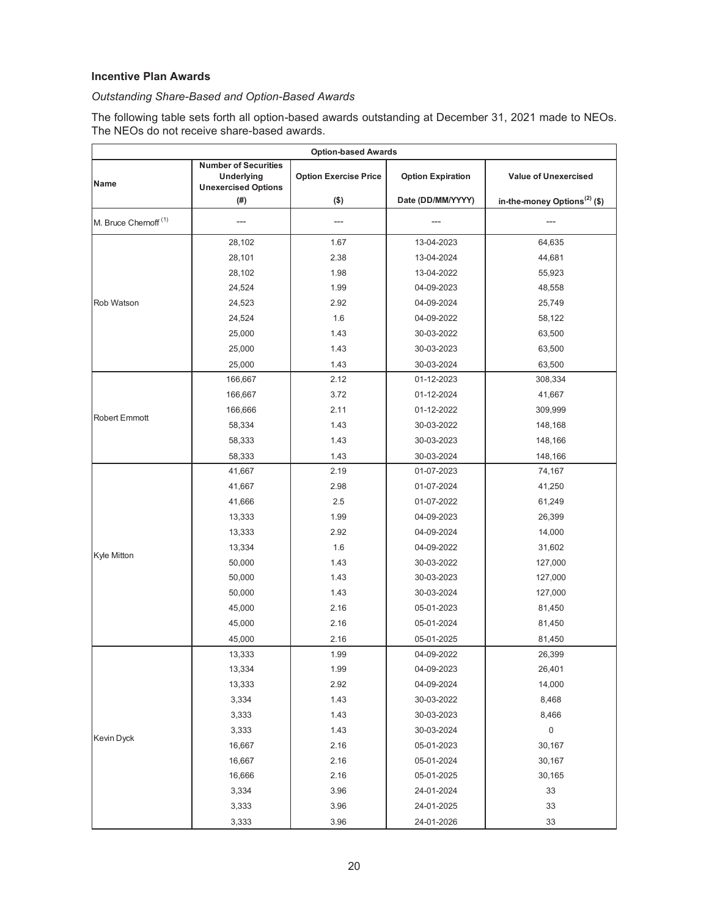# **Incentive Plan Awards**

# *Outstanding Share-Based and Option-Based Awards*

The following table sets forth all option-based awards outstanding at December 31, 2021 made to NEOs. The NEOs do not receive share-based awards.

| <b>Option-based Awards</b>       |                                                                         |                              |                                               |                                                                         |  |
|----------------------------------|-------------------------------------------------------------------------|------------------------------|-----------------------------------------------|-------------------------------------------------------------------------|--|
| Name                             | <b>Number of Securities</b><br>Underlying<br><b>Unexercised Options</b> | <b>Option Exercise Price</b> | <b>Option Expiration</b><br>Date (DD/MM/YYYY) | <b>Value of Unexercised</b><br>in-the-money Options <sup>(2)</sup> (\$) |  |
|                                  | (#)                                                                     | $(\$)$                       |                                               |                                                                         |  |
| M. Bruce Chernoff <sup>(1)</sup> | ---                                                                     | ---                          |                                               |                                                                         |  |
|                                  | 28,102                                                                  | 1.67                         | 13-04-2023                                    | 64,635                                                                  |  |
|                                  | 28,101                                                                  | 2.38                         | 13-04-2024                                    | 44,681                                                                  |  |
|                                  | 28,102                                                                  | 1.98                         | 13-04-2022                                    | 55,923                                                                  |  |
|                                  | 24,524                                                                  | 1.99                         | 04-09-2023                                    | 48,558                                                                  |  |
| Rob Watson                       | 24,523                                                                  | 2.92                         | 04-09-2024                                    | 25,749                                                                  |  |
|                                  | 24,524                                                                  | 1.6                          | 04-09-2022                                    | 58,122                                                                  |  |
|                                  | 25,000                                                                  | 1.43                         | 30-03-2022                                    | 63,500                                                                  |  |
|                                  | 25,000                                                                  | 1.43                         | 30-03-2023                                    | 63,500                                                                  |  |
|                                  | 25,000                                                                  | 1.43                         | 30-03-2024                                    | 63,500                                                                  |  |
|                                  | 166,667                                                                 | 2.12                         | 01-12-2023                                    | 308,334                                                                 |  |
|                                  | 166,667                                                                 | 3.72                         | 01-12-2024                                    | 41,667                                                                  |  |
| Robert Emmott                    | 166,666                                                                 | 2.11                         | 01-12-2022                                    | 309,999                                                                 |  |
|                                  | 58,334                                                                  | 1.43                         | 30-03-2022                                    | 148,168                                                                 |  |
|                                  | 58,333                                                                  | 1.43                         | 30-03-2023                                    | 148,166                                                                 |  |
|                                  | 58,333                                                                  | 1.43                         | 30-03-2024                                    | 148,166                                                                 |  |
|                                  | 41,667                                                                  | 2.19                         | 01-07-2023                                    | 74,167                                                                  |  |
|                                  | 41,667                                                                  | 2.98                         | 01-07-2024                                    | 41,250                                                                  |  |
|                                  | 41,666                                                                  | 2.5                          | 01-07-2022                                    | 61,249                                                                  |  |
|                                  | 13,333                                                                  | 1.99                         | 04-09-2023                                    | 26,399                                                                  |  |
|                                  | 13,333                                                                  | 2.92                         | 04-09-2024                                    | 14,000                                                                  |  |
| Kyle Mitton                      | 13,334                                                                  | 1.6                          | 04-09-2022                                    | 31,602                                                                  |  |
|                                  | 50,000                                                                  | 1.43                         | 30-03-2022                                    | 127,000                                                                 |  |
|                                  | 50,000                                                                  | 1.43                         | 30-03-2023                                    | 127,000                                                                 |  |
|                                  | 50,000                                                                  | 1.43                         | 30-03-2024                                    | 127,000                                                                 |  |
|                                  | 45,000                                                                  | 2.16                         | 05-01-2023                                    | 81,450                                                                  |  |
|                                  | 45,000                                                                  | 2.16                         | 05-01-2024                                    | 81,450                                                                  |  |
|                                  | 45,000                                                                  | 2.16                         | 05-01-2025                                    | 81,450                                                                  |  |
|                                  | 13,333                                                                  | 1.99                         | 04-09-2022                                    | 26,399                                                                  |  |
|                                  | 13,334                                                                  | 1.99                         | 04-09-2023                                    | 26,401                                                                  |  |
|                                  | 13,333                                                                  | 2.92                         | 04-09-2024                                    | 14,000                                                                  |  |
|                                  | 3,334                                                                   | 1.43                         | 30-03-2022                                    | 8,468                                                                   |  |
|                                  | 3,333                                                                   | 1.43                         | 30-03-2023                                    | 8,466                                                                   |  |
| Kevin Dyck                       | 3,333                                                                   | 1.43                         | 30-03-2024                                    | $\mathbf 0$                                                             |  |
|                                  | 16,667                                                                  | 2.16                         | 05-01-2023                                    | 30,167                                                                  |  |
|                                  | 16,667                                                                  | 2.16                         | 05-01-2024                                    | 30,167                                                                  |  |
|                                  | 16,666                                                                  | 2.16                         | 05-01-2025                                    | 30,165                                                                  |  |
|                                  | 3,334                                                                   | 3.96                         | 24-01-2024                                    | 33                                                                      |  |
|                                  | 3,333                                                                   | 3.96                         | 24-01-2025                                    | 33                                                                      |  |
|                                  | 3,333                                                                   | 3.96                         | 24-01-2026                                    | 33                                                                      |  |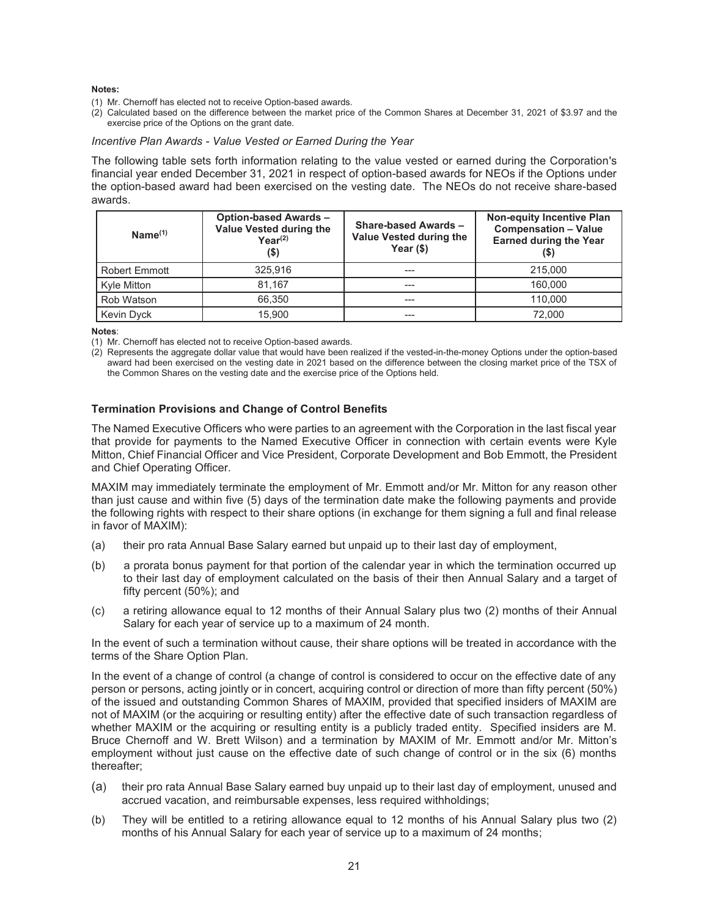#### **Notes:**

- (1) Mr. Chernoff has elected not to receive Option-based awards.
- (2) Calculated based on the difference between the market price of the Common Shares at December 31, 2021 of \$3.97 and the exercise price of the Options on the grant date.

## *Incentive Plan Awards - Value Vested or Earned During the Year*

The following table sets forth information relating to the value vested or earned during the Corporation's financial year ended December 31, 2021 in respect of option-based awards for NEOs if the Options under the option-based award had been exercised on the vesting date. The NEOs do not receive share-based awards.

| $Name^{(1)}$         | <b>Option-based Awards -</b><br>Value Vested during the<br>$Year^{(2)}$<br>(\$) | <b>Share-based Awards -</b><br>Value Vested during the<br>Year $($ \$) | <b>Non-equity Incentive Plan</b><br><b>Compensation - Value</b><br><b>Earned during the Year</b><br>(\$) |
|----------------------|---------------------------------------------------------------------------------|------------------------------------------------------------------------|----------------------------------------------------------------------------------------------------------|
| <b>Robert Emmott</b> | 325.916                                                                         | ---                                                                    | 215,000                                                                                                  |
| Kyle Mitton          | 81.167                                                                          | ---                                                                    | 160,000                                                                                                  |
| Rob Watson           | 66,350                                                                          | ---                                                                    | 110.000                                                                                                  |
| Kevin Dyck           | 15.900                                                                          |                                                                        | 72.000                                                                                                   |

**Notes**:

(1) Mr. Chernoff has elected not to receive Option-based awards.

(2) Represents the aggregate dollar value that would have been realized if the vested-in-the-money Options under the option-based award had been exercised on the vesting date in 2021 based on the difference between the closing market price of the TSX of the Common Shares on the vesting date and the exercise price of the Options held.

## **Termination Provisions and Change of Control Benefits**

The Named Executive Officers who were parties to an agreement with the Corporation in the last fiscal year that provide for payments to the Named Executive Officer in connection with certain events were Kyle Mitton, Chief Financial Officer and Vice President, Corporate Development and Bob Emmott, the President and Chief Operating Officer.

MAXIM may immediately terminate the employment of Mr. Emmott and/or Mr. Mitton for any reason other than just cause and within five (5) days of the termination date make the following payments and provide the following rights with respect to their share options (in exchange for them signing a full and final release in favor of MAXIM):

- (a) their pro rata Annual Base Salary earned but unpaid up to their last day of employment,
- (b) a prorata bonus payment for that portion of the calendar year in which the termination occurred up to their last day of employment calculated on the basis of their then Annual Salary and a target of fifty percent (50%); and
- (c) a retiring allowance equal to 12 months of their Annual Salary plus two (2) months of their Annual Salary for each year of service up to a maximum of 24 month.

In the event of such a termination without cause, their share options will be treated in accordance with the terms of the Share Option Plan.

In the event of a change of control (a change of control is considered to occur on the effective date of any person or persons, acting jointly or in concert, acquiring control or direction of more than fifty percent (50%) of the issued and outstanding Common Shares of MAXIM, provided that specified insiders of MAXIM are not of MAXIM (or the acquiring or resulting entity) after the effective date of such transaction regardless of whether MAXIM or the acquiring or resulting entity is a publicly traded entity. Specified insiders are M. Bruce Chernoff and W. Brett Wilson) and a termination by MAXIM of Mr. Emmott and/or Mr. Mitton's employment without just cause on the effective date of such change of control or in the six (6) months thereafter;

- (a) their pro rata Annual Base Salary earned buy unpaid up to their last day of employment, unused and accrued vacation, and reimbursable expenses, less required withholdings;
- (b) They will be entitled to a retiring allowance equal to 12 months of his Annual Salary plus two (2) months of his Annual Salary for each year of service up to a maximum of 24 months;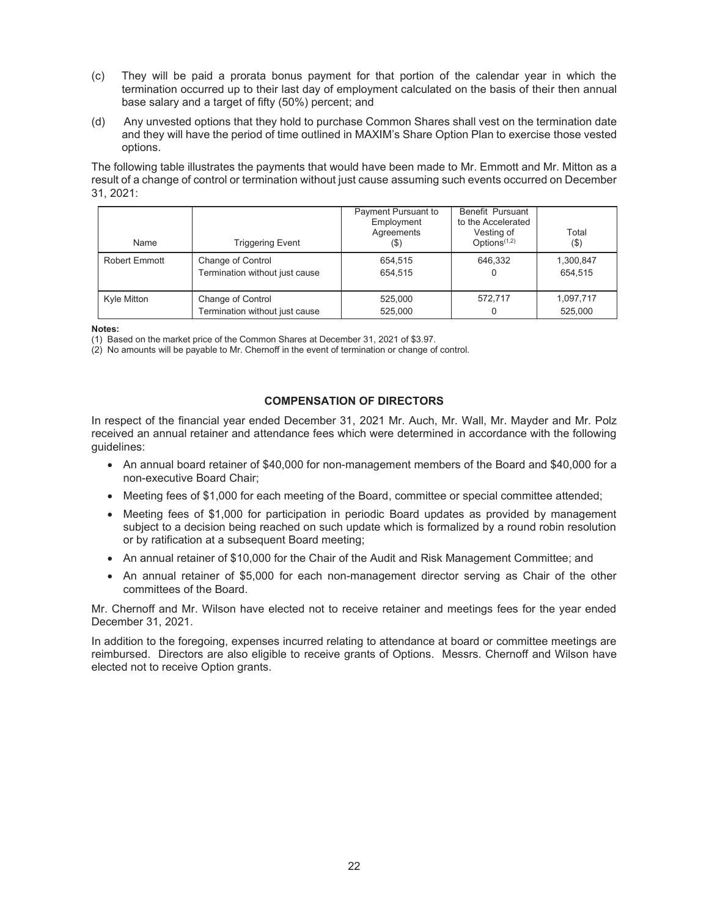- (c) They will be paid a prorata bonus payment for that portion of the calendar year in which the termination occurred up to their last day of employment calculated on the basis of their then annual base salary and a target of fifty (50%) percent; and
- (d) Any unvested options that they hold to purchase Common Shares shall vest on the termination date and they will have the period of time outlined in MAXIM's Share Option Plan to exercise those vested options.

The following table illustrates the payments that would have been made to Mr. Emmott and Mr. Mitton as a result of a change of control or termination without just cause assuming such events occurred on December 31, 2021:

| Name          | <b>Triggering Event</b>                             | Payment Pursuant to<br>Employment<br>Agreements<br>(\$) | Benefit Pursuant<br>to the Accelerated<br>Vesting of<br>Options $(1,2)$ | Total<br>$($ \$)     |
|---------------|-----------------------------------------------------|---------------------------------------------------------|-------------------------------------------------------------------------|----------------------|
| Robert Emmott | Change of Control<br>Termination without just cause | 654,515<br>654.515                                      | 646,332                                                                 | 1,300,847<br>654.515 |
| Kyle Mitton   | Change of Control<br>Termination without just cause | 525,000<br>525.000                                      | 572.717                                                                 | 1,097,717<br>525.000 |

**Notes:** 

(1) Based on the market price of the Common Shares at December 31, 2021 of \$3.97.

 $(2)$  No amounts will be payable to Mr. Chernoff in the event of termination or change of control.

## **COMPENSATION OF DIRECTORS**

In respect of the financial year ended December 31, 2021 Mr. Auch, Mr. Wall, Mr. Mayder and Mr. Polz received an annual retainer and attendance fees which were determined in accordance with the following guidelines:

- An annual board retainer of \$40,000 for non-management members of the Board and \$40,000 for a non-executive Board Chair;
- Meeting fees of \$1,000 for each meeting of the Board, committee or special committee attended;
- Meeting fees of \$1,000 for participation in periodic Board updates as provided by management subject to a decision being reached on such update which is formalized by a round robin resolution or by ratification at a subsequent Board meeting;
- An annual retainer of \$10,000 for the Chair of the Audit and Risk Management Committee; and
- An annual retainer of \$5,000 for each non-management director serving as Chair of the other committees of the Board.

Mr. Chernoff and Mr. Wilson have elected not to receive retainer and meetings fees for the year ended December 31, 2021.

In addition to the foregoing, expenses incurred relating to attendance at board or committee meetings are reimbursed. Directors are also eligible to receive grants of Options. Messrs. Chernoff and Wilson have elected not to receive Option grants.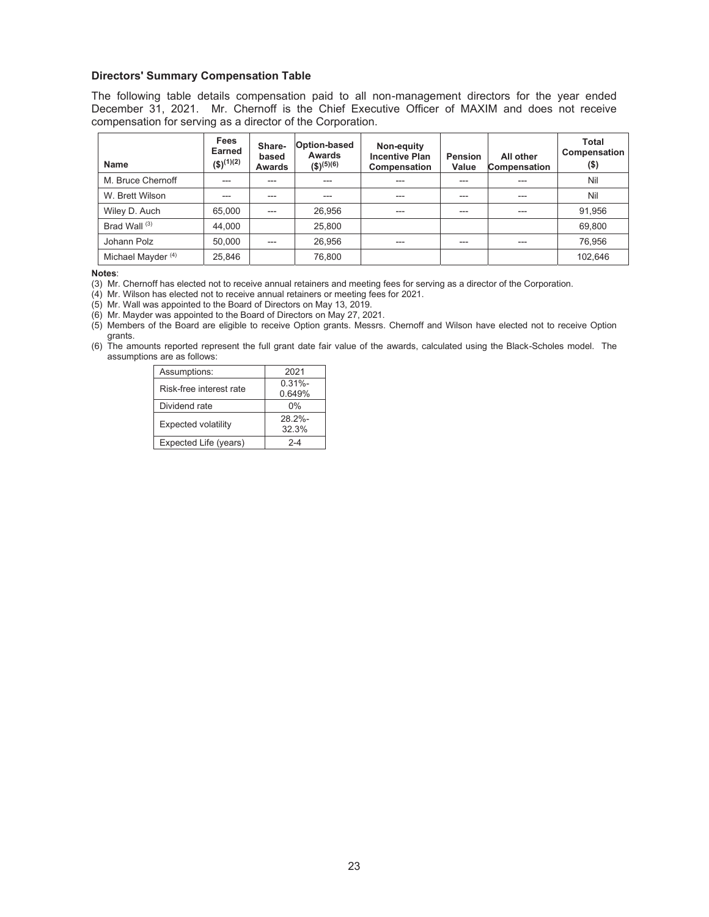#### **Directors' Summary Compensation Table**

The following table details compensation paid to all non-management directors for the year ended December 31, 2021. Mr. Chernoff is the Chief Executive Officer of MAXIM and does not receive compensation for serving as a director of the Corporation.

| Name                          | Fees<br>Earned<br>$($ \$) <sup>(1)(2)</sup> | Share-<br>based<br><b>Awards</b> | Option-based<br>Awards<br>$($ \$) <sup>(5)(6)</sup> | Non-equity<br><b>Incentive Plan</b><br>Compensation | <b>Pension</b><br>Value | All other<br><b>Compensation</b> | <b>Total</b><br>Compensation<br>$($ \$) |
|-------------------------------|---------------------------------------------|----------------------------------|-----------------------------------------------------|-----------------------------------------------------|-------------------------|----------------------------------|-----------------------------------------|
| M. Bruce Chernoff             | $---$                                       | $---$                            | $---$                                               | ---                                                 | $---$                   | ---                              | Nil                                     |
| W. Brett Wilson               | ---                                         | $---$                            | $---$                                               | ---                                                 | $---$                   | ---                              | Nil                                     |
| Wiley D. Auch                 | 65,000                                      | $---$                            | 26,956                                              | ---                                                 | ---                     | ---                              | 91,956                                  |
| Brad Wall <sup>(3)</sup>      | 44,000                                      |                                  | 25,800                                              |                                                     |                         |                                  | 69,800                                  |
| Johann Polz                   | 50,000                                      | $---$                            | 26,956                                              | ---                                                 | $---$                   | ---                              | 76,956                                  |
| Michael Mayder <sup>(4)</sup> | 25,846                                      |                                  | 76.800                                              |                                                     |                         |                                  | 102.646                                 |

**Notes**:

(3) Mr. Chernoff has elected not to receive annual retainers and meeting fees for serving as a director of the Corporation.

(4) Mr. Wilson has elected not to receive annual retainers or meeting fees for 2021.

(5) Mr. Wall was appointed to the Board of Directors on May 13, 2019.

(6) Mr. Mayder was appointed to the Board of Directors on May 27, 2021.

(5) Members of the Board are eligible to receive Option grants. Messrs. Chernoff and Wilson have elected not to receive Option grants.

(6) The amounts reported represent the full grant date fair value of the awards, calculated using the Black-Scholes model. The assumptions are as follows:

| Assumptions:               | 2021                |
|----------------------------|---------------------|
| Risk-free interest rate    | $0.31% -$<br>0.649% |
| Dividend rate              | $0\%$               |
| <b>Expected volatility</b> | 28 2%-<br>32.3%     |
| Expected Life (years)      | $2 - 4$             |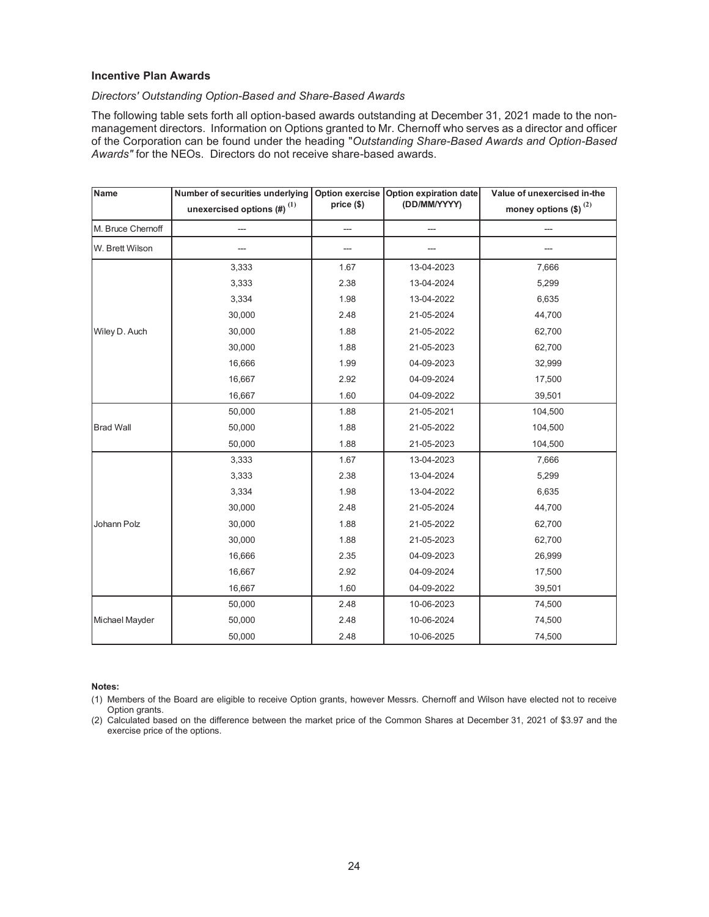## **Incentive Plan Awards**

## *Directors' Outstanding Option-Based and Share-Based Awards*

The following table sets forth all option-based awards outstanding at December 31, 2021 made to the nonmanagement directors. Information on Options granted to Mr. Chernoff who serves as a director and officer of the Corporation can be found under the heading "*Outstanding Share-Based Awards and Option-Based Awards"* for the NEOs. Directors do not receive share-based awards.

| Name              | Number of securities underlying              | Option exercise | Option expiration date | Value of unexercised in-the        |
|-------------------|----------------------------------------------|-----------------|------------------------|------------------------------------|
|                   | unexercised options $\left(\# \right)^{(1)}$ | price (\$)      | (DD/MM/YYYY)           | money options $(\text{$\$})^{(2)}$ |
| M. Bruce Chernoff |                                              | ---             |                        |                                    |
| W. Brett Wilson   |                                              |                 |                        |                                    |
|                   | 3,333                                        | 1.67            | 13-04-2023             | 7,666                              |
|                   | 3,333                                        | 2.38            | 13-04-2024             | 5,299                              |
|                   | 3,334                                        | 1.98            | 13-04-2022             | 6,635                              |
|                   | 30,000                                       | 2.48            | 21-05-2024             | 44,700                             |
| Wiley D. Auch     | 30,000                                       | 1.88            | 21-05-2022             | 62,700                             |
|                   | 30,000                                       | 1.88            | 21-05-2023             | 62,700                             |
|                   | 16,666                                       | 1.99            | 04-09-2023             | 32,999                             |
|                   | 16,667                                       | 2.92            | 04-09-2024             | 17,500                             |
|                   | 16,667                                       | 1.60            | 04-09-2022             | 39,501                             |
| <b>Brad Wall</b>  | 50,000                                       | 1.88            | 21-05-2021             | 104,500                            |
|                   | 50,000                                       | 1.88            | 21-05-2022             | 104,500                            |
|                   | 50,000                                       | 1.88            | 21-05-2023             | 104,500                            |
|                   | 3,333                                        | 1.67            | 13-04-2023             | 7,666                              |
|                   | 3,333                                        | 2.38            | 13-04-2024             | 5,299                              |
| Johann Polz       | 3,334                                        | 1.98            | 13-04-2022             | 6,635                              |
|                   | 30,000                                       | 2.48            | 21-05-2024             | 44,700                             |
|                   | 30,000                                       | 1.88            | 21-05-2022             | 62,700                             |
|                   | 30,000                                       | 1.88            | 21-05-2023             | 62,700                             |
|                   | 16,666                                       | 2.35            | 04-09-2023             | 26,999                             |
|                   | 16,667                                       | 2.92            | 04-09-2024             | 17,500                             |
|                   | 16,667                                       | 1.60            | 04-09-2022             | 39,501                             |
|                   | 50,000                                       | 2.48            | 10-06-2023             | 74,500                             |
| Michael Mayder    | 50,000                                       | 2.48            | 10-06-2024             | 74,500                             |
|                   | 50,000                                       | 2.48            | 10-06-2025             | 74,500                             |

#### **Notes:**

(1) Members of the Board are eligible to receive Option grants, however Messrs. Chernoff and Wilson have elected not to receive Option grants.

(2) Calculated based on the difference between the market price of the Common Shares at December 31, 2021 of \$3.97 and the exercise price of the options.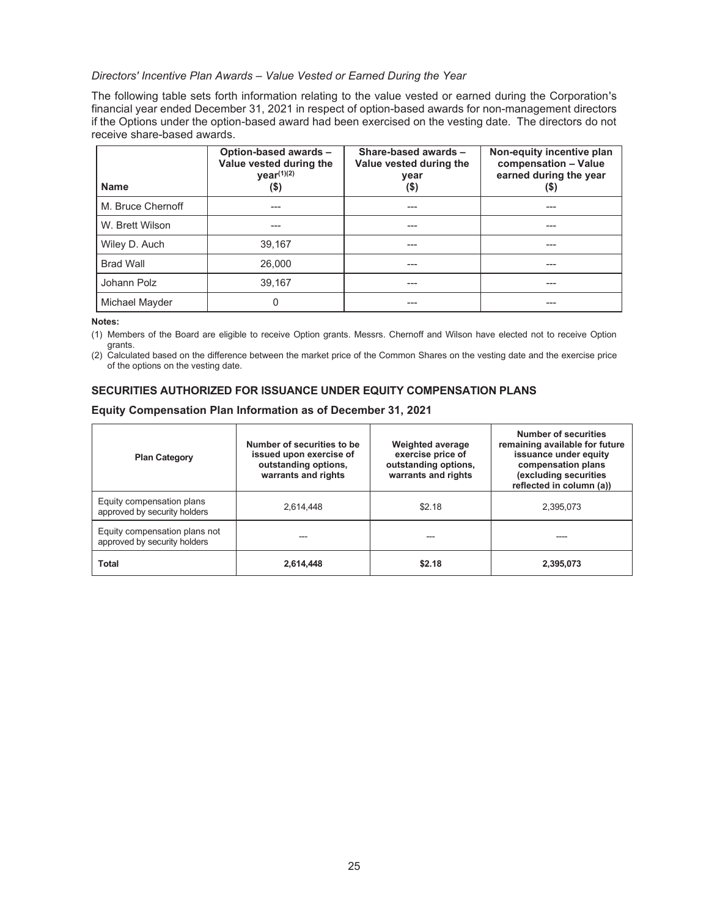*Directors' Incentive Plan Awards – Value Vested or Earned During the Year* 

The following table sets forth information relating to the value vested or earned during the Corporation's financial year ended December 31, 2021 in respect of option-based awards for non-management directors if the Options under the option-based award had been exercised on the vesting date. The directors do not receive share-based awards.

| <b>Name</b>       | Option-based awards -<br>Value vested during the<br>$year^{(1)(2)}$<br>(\$) | Share-based awards -<br>Value vested during the<br>year<br>$($ \$) | Non-equity incentive plan<br>compensation - Value<br>earned during the year<br>(\$) |
|-------------------|-----------------------------------------------------------------------------|--------------------------------------------------------------------|-------------------------------------------------------------------------------------|
| M. Bruce Chernoff |                                                                             |                                                                    | ---                                                                                 |
| W. Brett Wilson   | ---                                                                         | ---                                                                | ---                                                                                 |
| Wiley D. Auch     | 39.167                                                                      |                                                                    |                                                                                     |
| <b>Brad Wall</b>  | 26,000                                                                      |                                                                    |                                                                                     |
| Johann Polz       | 39,167                                                                      |                                                                    | ---                                                                                 |
| Michael Mayder    | 0                                                                           | ---                                                                | ---                                                                                 |

**Notes:** 

(1) Members of the Board are eligible to receive Option grants. Messrs. Chernoff and Wilson have elected not to receive Option grants.

(2) Calculated based on the difference between the market price of the Common Shares on the vesting date and the exercise price of the options on the vesting date.

# **SECURITIES AUTHORIZED FOR ISSUANCE UNDER EQUITY COMPENSATION PLANS**

## **Equity Compensation Plan Information as of December 31, 2021**

| <b>Plan Category</b>                                          | Number of securities to be<br>issued upon exercise of<br>outstanding options,<br>warrants and rights | <b>Weighted average</b><br>exercise price of<br>outstanding options,<br>warrants and rights | Number of securities<br>remaining available for future<br>issuance under equity<br>compensation plans<br>(excluding securities<br>reflected in column (a)) |
|---------------------------------------------------------------|------------------------------------------------------------------------------------------------------|---------------------------------------------------------------------------------------------|------------------------------------------------------------------------------------------------------------------------------------------------------------|
| Equity compensation plans<br>approved by security holders     | 2.614.448                                                                                            | \$2.18                                                                                      | 2,395,073                                                                                                                                                  |
| Equity compensation plans not<br>approved by security holders |                                                                                                      |                                                                                             |                                                                                                                                                            |
| <b>Total</b>                                                  | 2,614,448                                                                                            | \$2.18                                                                                      | 2.395.073                                                                                                                                                  |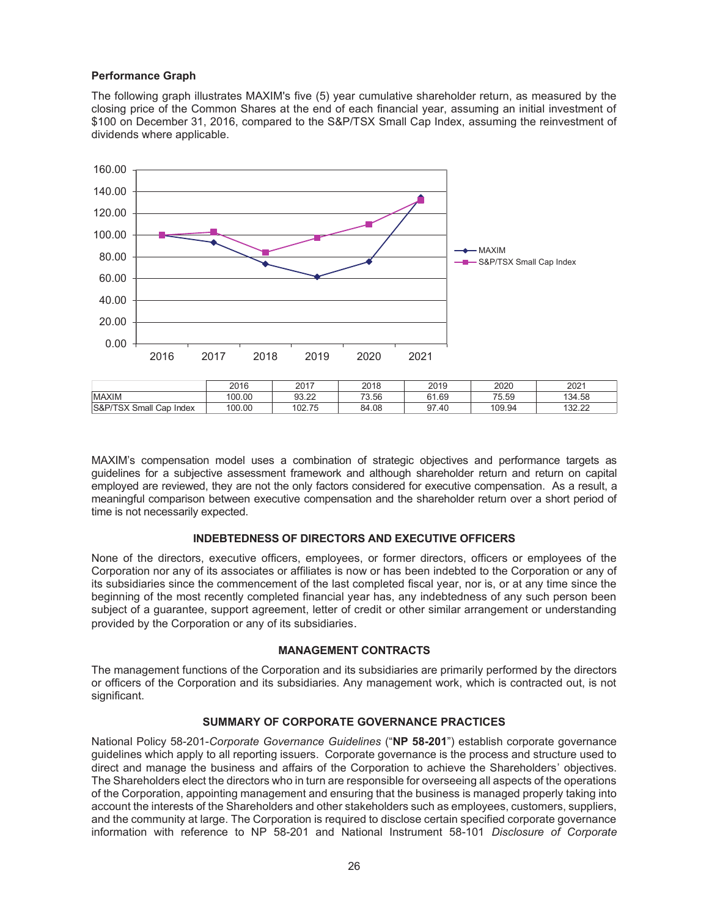## **Performance Graph**

The following graph illustrates MAXIM's five (5) year cumulative shareholder return, as measured by the closing price of the Common Shares at the end of each financial year, assuming an initial investment of \$100 on December 31, 2016, compared to the S&P/TSX Small Cap Index, assuming the reinvestment of dividends where applicable.



MAXIM's compensation model uses a combination of strategic objectives and performance targets as guidelines for a subjective assessment framework and although shareholder return and return on capital employed are reviewed, they are not the only factors considered for executive compensation. As a result, a meaningful comparison between executive compensation and the shareholder return over a short period of time is not necessarily expected.

## **INDEBTEDNESS OF DIRECTORS AND EXECUTIVE OFFICERS**

None of the directors, executive officers, employees, or former directors, officers or employees of the Corporation nor any of its associates or affiliates is now or has been indebted to the Corporation or any of its subsidiaries since the commencement of the last completed fiscal year, nor is, or at any time since the beginning of the most recently completed financial year has, any indebtedness of any such person been subject of a guarantee, support agreement, letter of credit or other similar arrangement or understanding provided by the Corporation or any of its subsidiaries.

## **MANAGEMENT CONTRACTS**

The management functions of the Corporation and its subsidiaries are primarily performed by the directors or officers of the Corporation and its subsidiaries. Any management work, which is contracted out, is not significant.

## **SUMMARY OF CORPORATE GOVERNANCE PRACTICES**

National Policy 58-201-*Corporate Governance Guidelines* ("**NP 58-201**") establish corporate governance guidelines which apply to all reporting issuers. Corporate governance is the process and structure used to direct and manage the business and affairs of the Corporation to achieve the Shareholders' objectives. The Shareholders elect the directors who in turn are responsible for overseeing all aspects of the operations of the Corporation, appointing management and ensuring that the business is managed properly taking into account the interests of the Shareholders and other stakeholders such as employees, customers, suppliers, and the community at large. The Corporation is required to disclose certain specified corporate governance information with reference to NP 58-201 and National Instrument 58-101 *Disclosure of Corporate*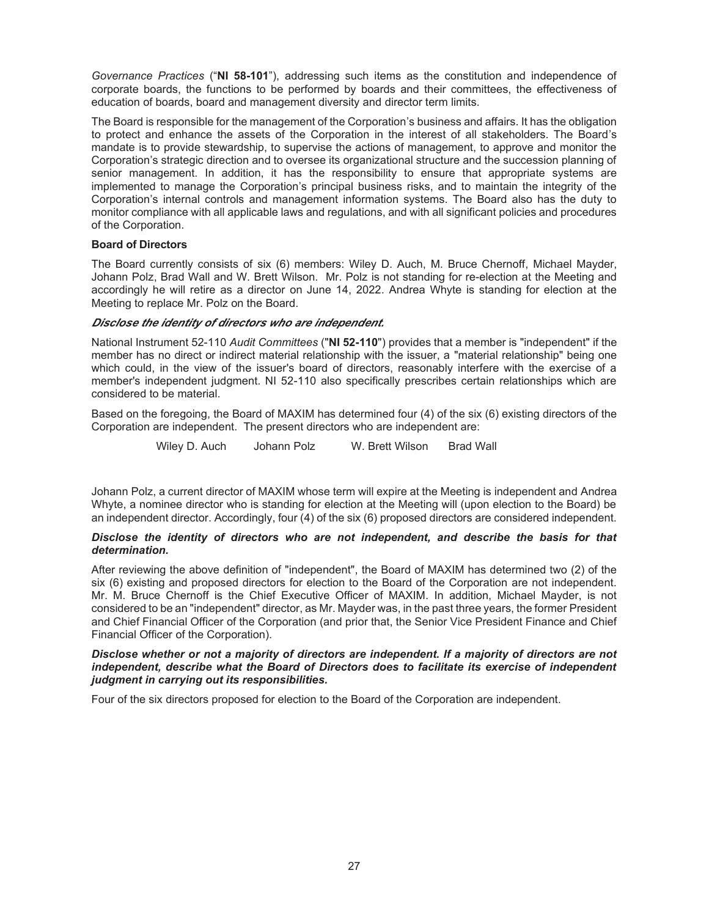*Governance Practices* ("**NI 58-101**"), addressing such items as the constitution and independence of corporate boards, the functions to be performed by boards and their committees, the effectiveness of education of boards, board and management diversity and director term limits.

The Board is responsible for the management of the Corporation's business and affairs. It has the obligation to protect and enhance the assets of the Corporation in the interest of all stakeholders. The Board's mandate is to provide stewardship, to supervise the actions of management, to approve and monitor the Corporation's strategic direction and to oversee its organizational structure and the succession planning of senior management. In addition, it has the responsibility to ensure that appropriate systems are implemented to manage the Corporation's principal business risks, and to maintain the integrity of the Corporation's internal controls and management information systems. The Board also has the duty to monitor compliance with all applicable laws and regulations, and with all significant policies and procedures of the Corporation.

## **Board of Directors**

The Board currently consists of six (6) members: Wiley D. Auch, M. Bruce Chernoff, Michael Mayder, Johann Polz, Brad Wall and W. Brett Wilson. Mr. Polz is not standing for re-election at the Meeting and accordingly he will retire as a director on June 14, 2022. Andrea Whyte is standing for election at the Meeting to replace Mr. Polz on the Board.

## *Disclose the identity of directors who are independent.*

National Instrument 52-110 *Audit Committees* ("**NI 52-110**") provides that a member is "independent" if the member has no direct or indirect material relationship with the issuer, a "material relationship" being one which could, in the view of the issuer's board of directors, reasonably interfere with the exercise of a member's independent judgment. NI 52-110 also specifically prescribes certain relationships which are considered to be material.

Based on the foregoing, the Board of MAXIM has determined four (4) of the six (6) existing directors of the Corporation are independent. The present directors who are independent are:

Wiley D. Auch Johann Polz W. Brett Wilson Brad Wall

Johann Polz, a current director of MAXIM whose term will expire at the Meeting is independent and Andrea Whyte, a nominee director who is standing for election at the Meeting will (upon election to the Board) be an independent director. Accordingly, four (4) of the six (6) proposed directors are considered independent.

## *Disclose the identity of directors who are not independent, and describe the basis for that determination.*

After reviewing the above definition of "independent", the Board of MAXIM has determined two (2) of the six (6) existing and proposed directors for election to the Board of the Corporation are not independent. Mr. M. Bruce Chernoff is the Chief Executive Officer of MAXIM. In addition, Michael Mayder, is not considered to be an "independent" director, as Mr. Mayder was, in the past three years, the former President and Chief Financial Officer of the Corporation (and prior that, the Senior Vice President Finance and Chief Financial Officer of the Corporation).

#### *Disclose whether or not a majority of directors are independent. If a majority of directors are not independent, describe what the Board of Directors does to facilitate its exercise of independent judgment in carrying out its responsibilities.*

Four of the six directors proposed for election to the Board of the Corporation are independent.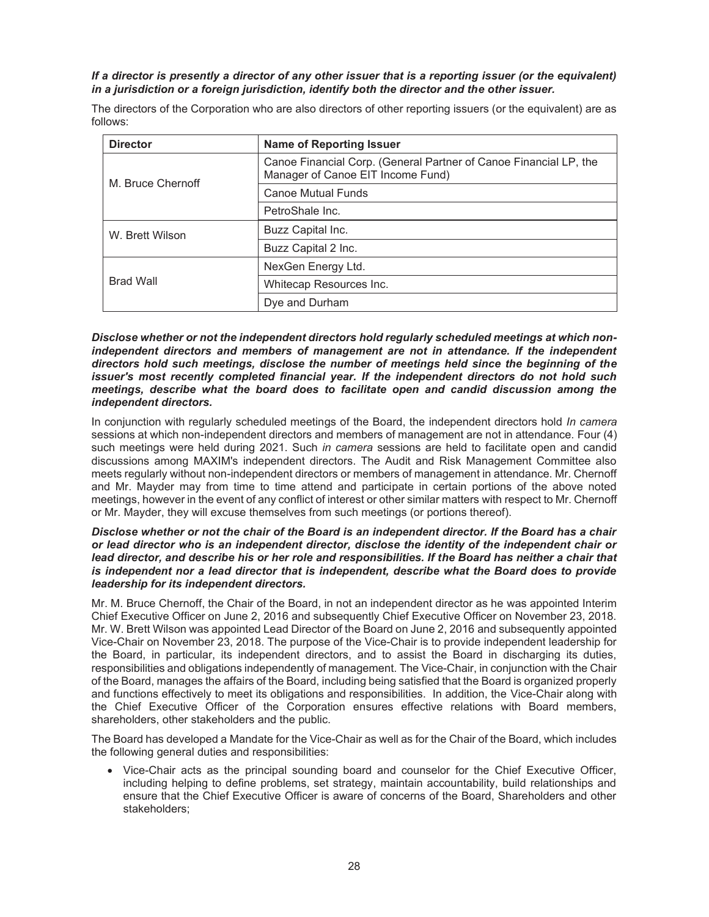## *If a director is presently a director of any other issuer that is a reporting issuer (or the equivalent) in a jurisdiction or a foreign jurisdiction, identify both the director and the other issuer.*

The directors of the Corporation who are also directors of other reporting issuers (or the equivalent) are as follows:

| <b>Director</b>   | <b>Name of Reporting Issuer</b>                                                                        |
|-------------------|--------------------------------------------------------------------------------------------------------|
| M. Bruce Chernoff | Canoe Financial Corp. (General Partner of Canoe Financial LP, the<br>Manager of Canoe EIT Income Fund) |
|                   | <b>Canoe Mutual Funds</b>                                                                              |
|                   | PetroShale Inc.                                                                                        |
| W. Brett Wilson   | Buzz Capital Inc.                                                                                      |
|                   | Buzz Capital 2 Inc.                                                                                    |
|                   | NexGen Energy Ltd.                                                                                     |
| <b>Brad Wall</b>  | Whitecap Resources Inc.                                                                                |
|                   | Dye and Durham                                                                                         |

*Disclose whether or not the independent directors hold regularly scheduled meetings at which nonindependent directors and members of management are not in attendance. If the independent directors hold such meetings, disclose the number of meetings held since the beginning of the issuer's most recently completed financial year. If the independent directors do not hold such meetings, describe what the board does to facilitate open and candid discussion among the independent directors.* 

In conjunction with regularly scheduled meetings of the Board, the independent directors hold *In camera* sessions at which non-independent directors and members of management are not in attendance. Four (4) such meetings were held during 2021. Such *in camera* sessions are held to facilitate open and candid discussions among MAXIM's independent directors. The Audit and Risk Management Committee also meets regularly without non-independent directors or members of management in attendance. Mr. Chernoff and Mr. Mayder may from time to time attend and participate in certain portions of the above noted meetings, however in the event of any conflict of interest or other similar matters with respect to Mr. Chernoff or Mr. Mayder, they will excuse themselves from such meetings (or portions thereof).

## *Disclose whether or not the chair of the Board is an independent director. If the Board has a chair or lead director who is an independent director, disclose the identity of the independent chair or*  lead director, and describe his or her role and responsibilities. If the Board has neither a chair that *is independent nor a lead director that is independent, describe what the Board does to provide leadership for its independent directors.*

Mr. M. Bruce Chernoff, the Chair of the Board, in not an independent director as he was appointed Interim Chief Executive Officer on June 2, 2016 and subsequently Chief Executive Officer on November 23, 2018. Mr. W. Brett Wilson was appointed Lead Director of the Board on June 2, 2016 and subsequently appointed Vice-Chair on November 23, 2018. The purpose of the Vice-Chair is to provide independent leadership for the Board, in particular, its independent directors, and to assist the Board in discharging its duties, responsibilities and obligations independently of management. The Vice-Chair, in conjunction with the Chair of the Board, manages the affairs of the Board, including being satisfied that the Board is organized properly and functions effectively to meet its obligations and responsibilities. In addition, the Vice-Chair along with the Chief Executive Officer of the Corporation ensures effective relations with Board members, shareholders, other stakeholders and the public.

The Board has developed a Mandate for the Vice-Chair as well as for the Chair of the Board, which includes the following general duties and responsibilities:

• Vice-Chair acts as the principal sounding board and counselor for the Chief Executive Officer, including helping to define problems, set strategy, maintain accountability, build relationships and ensure that the Chief Executive Officer is aware of concerns of the Board, Shareholders and other stakeholders;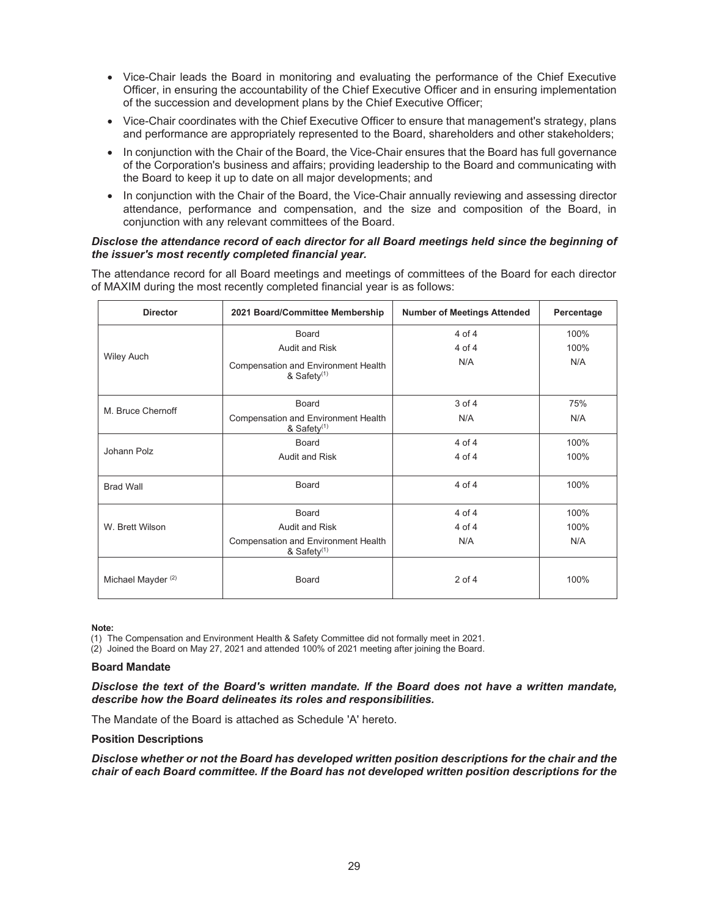- Vice-Chair leads the Board in monitoring and evaluating the performance of the Chief Executive Officer, in ensuring the accountability of the Chief Executive Officer and in ensuring implementation of the succession and development plans by the Chief Executive Officer;
- Vice-Chair coordinates with the Chief Executive Officer to ensure that management's strategy, plans and performance are appropriately represented to the Board, shareholders and other stakeholders;
- In conjunction with the Chair of the Board, the Vice-Chair ensures that the Board has full governance of the Corporation's business and affairs; providing leadership to the Board and communicating with the Board to keep it up to date on all major developments; and
- In conjunction with the Chair of the Board, the Vice-Chair annually reviewing and assessing director attendance, performance and compensation, and the size and composition of the Board, in conjunction with any relevant committees of the Board.

## *Disclose the attendance record of each director for all Board meetings held since the beginning of the issuer's most recently completed financial year.*

The attendance record for all Board meetings and meetings of committees of the Board for each director of MAXIM during the most recently completed financial year is as follows:

| <b>Director</b>               | 2021 Board/Committee Membership                                       | <b>Number of Meetings Attended</b> | Percentage |
|-------------------------------|-----------------------------------------------------------------------|------------------------------------|------------|
|                               | Board                                                                 | $4$ of $4$                         | 100%       |
|                               | Audit and Risk                                                        | $4$ of $4$                         | 100%       |
| <b>Wiley Auch</b>             | Compensation and Environment Health<br>& Safety <sup>(1)</sup>        | N/A                                | N/A        |
| M. Bruce Chernoff             | Board                                                                 | 3 of 4                             | 75%        |
|                               | <b>Compensation and Environment Health</b><br>& Safety <sup>(1)</sup> | N/A                                | N/A        |
| Johann Polz                   | Board                                                                 | $4$ of $4$                         | 100%       |
|                               | Audit and Risk                                                        | $4$ of $4$                         | 100%       |
| <b>Brad Wall</b>              | Board                                                                 | $4$ of $4$                         | 100%       |
| W. Brett Wilson               | Board                                                                 | 4 of 4                             | 100%       |
|                               | <b>Audit and Risk</b>                                                 | 4 of 4                             | 100%       |
|                               | Compensation and Environment Health<br>& Safety <sup>(1)</sup>        | N/A                                | N/A        |
| Michael Mayder <sup>(2)</sup> | Board                                                                 | $2$ of $4$                         | 100%       |

**Note:** 

(1) The Compensation and Environment Health & Safety Committee did not formally meet in 2021.

(2) Joined the Board on May 27, 2021 and attended 100% of 2021 meeting after joining the Board.

#### **Board Mandate**

*Disclose the text of the Board's written mandate. If the Board does not have a written mandate, describe how the Board delineates its roles and responsibilities.* 

The Mandate of the Board is attached as Schedule 'A' hereto.

## **Position Descriptions**

*Disclose whether or not the Board has developed written position descriptions for the chair and the chair of each Board committee. If the Board has not developed written position descriptions for the*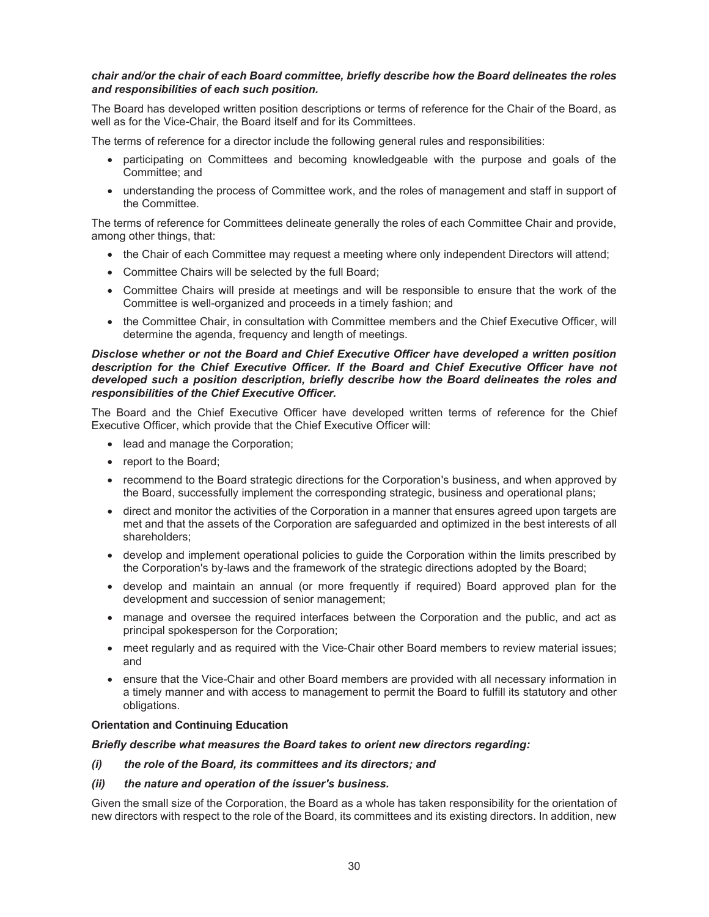## *chair and/or the chair of each Board committee, briefly describe how the Board delineates the roles and responsibilities of each such position.*

The Board has developed written position descriptions or terms of reference for the Chair of the Board, as well as for the Vice-Chair, the Board itself and for its Committees.

The terms of reference for a director include the following general rules and responsibilities:

- participating on Committees and becoming knowledgeable with the purpose and goals of the Committee; and
- understanding the process of Committee work, and the roles of management and staff in support of the Committee.

The terms of reference for Committees delineate generally the roles of each Committee Chair and provide, among other things, that:

- the Chair of each Committee may request a meeting where only independent Directors will attend;
- Committee Chairs will be selected by the full Board;
- Committee Chairs will preside at meetings and will be responsible to ensure that the work of the Committee is well-organized and proceeds in a timely fashion; and
- the Committee Chair, in consultation with Committee members and the Chief Executive Officer, will determine the agenda, frequency and length of meetings.

#### *Disclose whether or not the Board and Chief Executive Officer have developed a written position description for the Chief Executive Officer. If the Board and Chief Executive Officer have not developed such a position description, briefly describe how the Board delineates the roles and responsibilities of the Chief Executive Officer.*

The Board and the Chief Executive Officer have developed written terms of reference for the Chief Executive Officer, which provide that the Chief Executive Officer will:

- lead and manage the Corporation;
- report to the Board:
- recommend to the Board strategic directions for the Corporation's business, and when approved by the Board, successfully implement the corresponding strategic, business and operational plans;
- direct and monitor the activities of the Corporation in a manner that ensures agreed upon targets are met and that the assets of the Corporation are safeguarded and optimized in the best interests of all shareholders;
- develop and implement operational policies to guide the Corporation within the limits prescribed by the Corporation's by-laws and the framework of the strategic directions adopted by the Board;
- develop and maintain an annual (or more frequently if required) Board approved plan for the development and succession of senior management;
- manage and oversee the required interfaces between the Corporation and the public, and act as principal spokesperson for the Corporation;
- meet regularly and as required with the Vice-Chair other Board members to review material issues; and
- ensure that the Vice-Chair and other Board members are provided with all necessary information in a timely manner and with access to management to permit the Board to fulfill its statutory and other obligations.

#### **Orientation and Continuing Education**

## *Briefly describe what measures the Board takes to orient new directors regarding:*

- *(i) the role of the Board, its committees and its directors; and*
- *(ii) the nature and operation of the issuer's business.*

Given the small size of the Corporation, the Board as a whole has taken responsibility for the orientation of new directors with respect to the role of the Board, its committees and its existing directors. In addition, new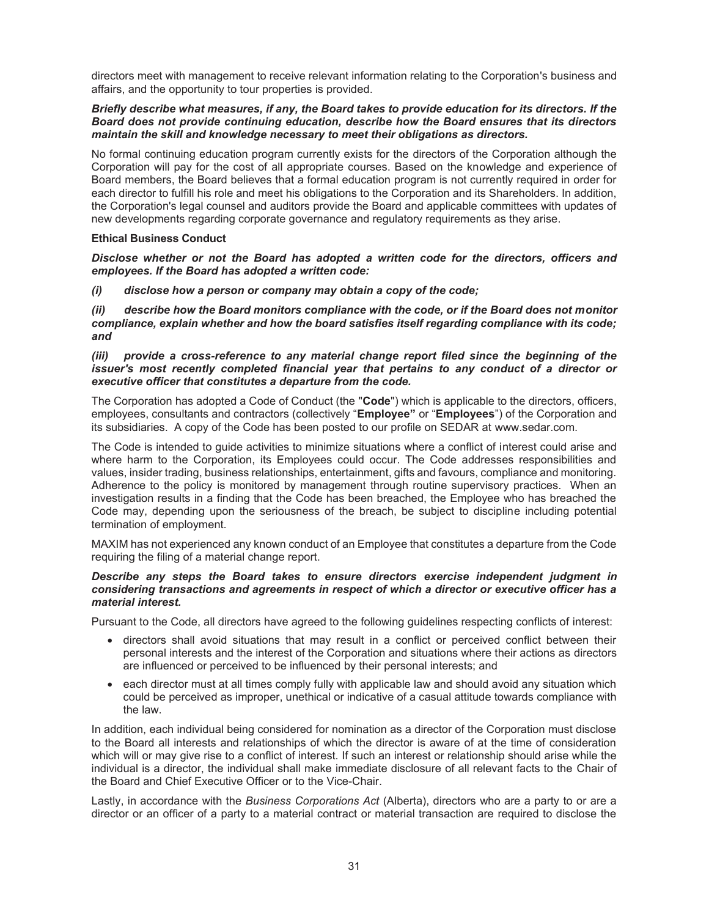directors meet with management to receive relevant information relating to the Corporation's business and affairs, and the opportunity to tour properties is provided.

#### *Briefly describe what measures, if any, the Board takes to provide education for its directors. If the Board does not provide continuing education, describe how the Board ensures that its directors maintain the skill and knowledge necessary to meet their obligations as directors.*

No formal continuing education program currently exists for the directors of the Corporation although the Corporation will pay for the cost of all appropriate courses. Based on the knowledge and experience of Board members, the Board believes that a formal education program is not currently required in order for each director to fulfill his role and meet his obligations to the Corporation and its Shareholders. In addition, the Corporation's legal counsel and auditors provide the Board and applicable committees with updates of new developments regarding corporate governance and regulatory requirements as they arise.

## **Ethical Business Conduct**

*Disclose whether or not the Board has adopted a written code for the directors, officers and employees. If the Board has adopted a written code:* 

*(i) disclose how a person or company may obtain a copy of the code;* 

*(ii) describe how the Board monitors compliance with the code, or if the Board does not monitor compliance, explain whether and how the board satisfies itself regarding compliance with its code; and* 

#### *(iii) provide a cross-reference to any material change report filed since the beginning of the issuer's most recently completed financial year that pertains to any conduct of a director or executive officer that constitutes a departure from the code.*

The Corporation has adopted a Code of Conduct (the "**Code**") which is applicable to the directors, officers, employees, consultants and contractors (collectively "**Employee"** or "**Employees**") of the Corporation and its subsidiaries. A copy of the Code has been posted to our profile on SEDAR at www.sedar.com.

The Code is intended to guide activities to minimize situations where a conflict of interest could arise and where harm to the Corporation, its Employees could occur. The Code addresses responsibilities and values, insider trading, business relationships, entertainment, gifts and favours, compliance and monitoring. Adherence to the policy is monitored by management through routine supervisory practices. When an investigation results in a finding that the Code has been breached, the Employee who has breached the Code may, depending upon the seriousness of the breach, be subject to discipline including potential termination of employment.

MAXIM has not experienced any known conduct of an Employee that constitutes a departure from the Code requiring the filing of a material change report.

## *Describe any steps the Board takes to ensure directors exercise independent judgment in considering transactions and agreements in respect of which a director or executive officer has a material interest.*

Pursuant to the Code, all directors have agreed to the following guidelines respecting conflicts of interest:

- directors shall avoid situations that may result in a conflict or perceived conflict between their personal interests and the interest of the Corporation and situations where their actions as directors are influenced or perceived to be influenced by their personal interests; and
- each director must at all times comply fully with applicable law and should avoid any situation which could be perceived as improper, unethical or indicative of a casual attitude towards compliance with the law.

In addition, each individual being considered for nomination as a director of the Corporation must disclose to the Board all interests and relationships of which the director is aware of at the time of consideration which will or may give rise to a conflict of interest. If such an interest or relationship should arise while the individual is a director, the individual shall make immediate disclosure of all relevant facts to the Chair of the Board and Chief Executive Officer or to the Vice-Chair.

Lastly, in accordance with the *Business Corporations Act* (Alberta), directors who are a party to or are a director or an officer of a party to a material contract or material transaction are required to disclose the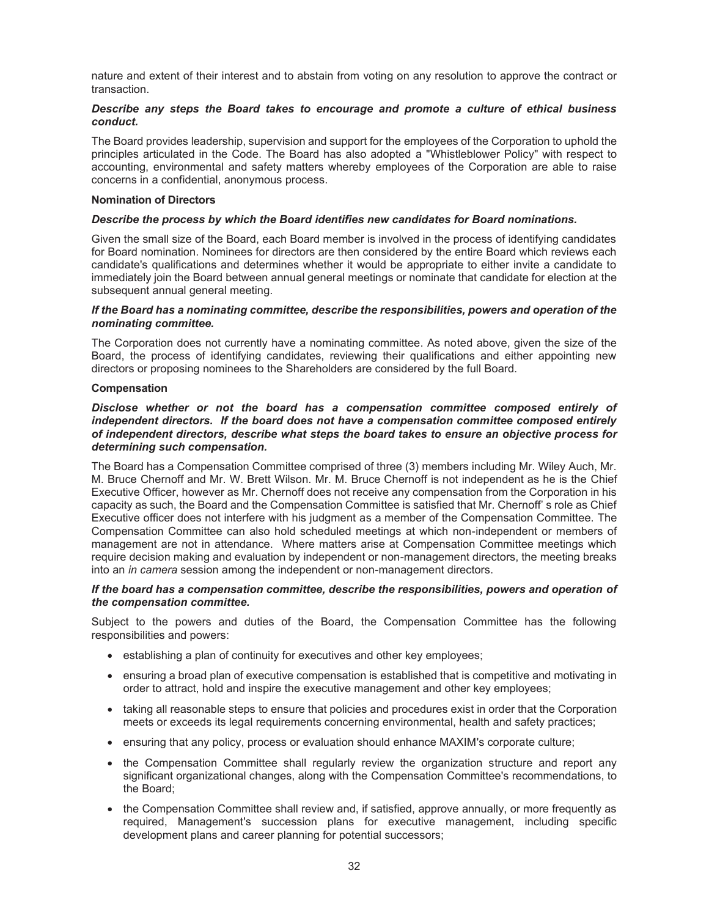nature and extent of their interest and to abstain from voting on any resolution to approve the contract or transaction.

## *Describe any steps the Board takes to encourage and promote a culture of ethical business conduct.*

The Board provides leadership, supervision and support for the employees of the Corporation to uphold the principles articulated in the Code. The Board has also adopted a "Whistleblower Policy" with respect to accounting, environmental and safety matters whereby employees of the Corporation are able to raise concerns in a confidential, anonymous process.

#### **Nomination of Directors**

## *Describe the process by which the Board identifies new candidates for Board nominations.*

Given the small size of the Board, each Board member is involved in the process of identifying candidates for Board nomination. Nominees for directors are then considered by the entire Board which reviews each candidate's qualifications and determines whether it would be appropriate to either invite a candidate to immediately join the Board between annual general meetings or nominate that candidate for election at the subsequent annual general meeting.

## *If the Board has a nominating committee, describe the responsibilities, powers and operation of the nominating committee.*

The Corporation does not currently have a nominating committee. As noted above, given the size of the Board, the process of identifying candidates, reviewing their qualifications and either appointing new directors or proposing nominees to the Shareholders are considered by the full Board.

## **Compensation**

## *Disclose whether or not the board has a compensation committee composed entirely of independent directors. If the board does not have a compensation committee composed entirely of independent directors, describe what steps the board takes to ensure an objective process for determining such compensation.*

The Board has a Compensation Committee comprised of three (3) members including Mr. Wiley Auch, Mr. M. Bruce Chernoff and Mr. W. Brett Wilson. Mr. M. Bruce Chernoff is not independent as he is the Chief Executive Officer, however as Mr. Chernoff does not receive any compensation from the Corporation in his capacity as such, the Board and the Compensation Committee is satisfied that Mr. Chernoff' s role as Chief Executive officer does not interfere with his judgment as a member of the Compensation Committee. The Compensation Committee can also hold scheduled meetings at which non-independent or members of management are not in attendance. Where matters arise at Compensation Committee meetings which require decision making and evaluation by independent or non-management directors, the meeting breaks into an *in camera* session among the independent or non-management directors.

## *If the board has a compensation committee, describe the responsibilities, powers and operation of the compensation committee.*

Subject to the powers and duties of the Board, the Compensation Committee has the following responsibilities and powers:

- establishing a plan of continuity for executives and other key employees;
- ensuring a broad plan of executive compensation is established that is competitive and motivating in order to attract, hold and inspire the executive management and other key employees;
- taking all reasonable steps to ensure that policies and procedures exist in order that the Corporation meets or exceeds its legal requirements concerning environmental, health and safety practices;
- ensuring that any policy, process or evaluation should enhance MAXIM's corporate culture;
- the Compensation Committee shall regularly review the organization structure and report any significant organizational changes, along with the Compensation Committee's recommendations, to the Board;
- the Compensation Committee shall review and, if satisfied, approve annually, or more frequently as required, Management's succession plans for executive management, including specific development plans and career planning for potential successors;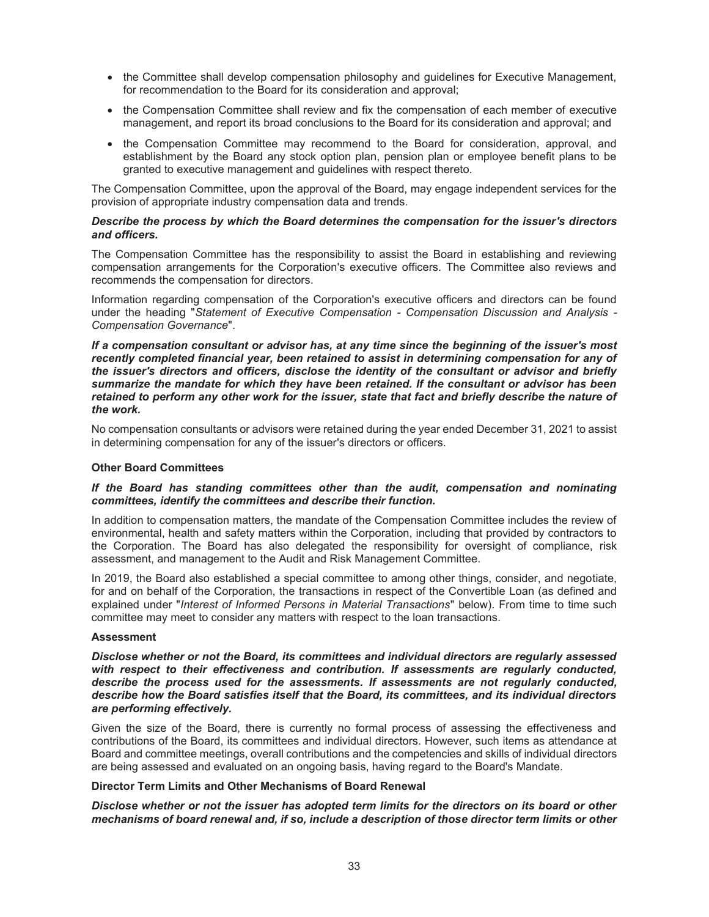- the Committee shall develop compensation philosophy and guidelines for Executive Management, for recommendation to the Board for its consideration and approval;
- the Compensation Committee shall review and fix the compensation of each member of executive management, and report its broad conclusions to the Board for its consideration and approval; and
- the Compensation Committee may recommend to the Board for consideration, approval, and establishment by the Board any stock option plan, pension plan or employee benefit plans to be granted to executive management and guidelines with respect thereto.

The Compensation Committee, upon the approval of the Board, may engage independent services for the provision of appropriate industry compensation data and trends.

#### *Describe the process by which the Board determines the compensation for the issuer's directors and officers.*

The Compensation Committee has the responsibility to assist the Board in establishing and reviewing compensation arrangements for the Corporation's executive officers. The Committee also reviews and recommends the compensation for directors.

Information regarding compensation of the Corporation's executive officers and directors can be found under the heading "*Statement of Executive Compensation - Compensation Discussion and Analysis - Compensation Governance*".

*If a compensation consultant or advisor has, at any time since the beginning of the issuer's most recently completed financial year, been retained to assist in determining compensation for any of the issuer's directors and officers, disclose the identity of the consultant or advisor and briefly summarize the mandate for which they have been retained. If the consultant or advisor has been retained to perform any other work for the issuer, state that fact and briefly describe the nature of the work.* 

No compensation consultants or advisors were retained during the year ended December 31, 2021 to assist in determining compensation for any of the issuer's directors or officers.

#### **Other Board Committees**

#### *If the Board has standing committees other than the audit, compensation and nominating committees, identify the committees and describe their function.*

In addition to compensation matters, the mandate of the Compensation Committee includes the review of environmental, health and safety matters within the Corporation, including that provided by contractors to the Corporation. The Board has also delegated the responsibility for oversight of compliance, risk assessment, and management to the Audit and Risk Management Committee.

In 2019, the Board also established a special committee to among other things, consider, and negotiate, for and on behalf of the Corporation, the transactions in respect of the Convertible Loan (as defined and explained under "*Interest of Informed Persons in Material Transactions*" below). From time to time such committee may meet to consider any matters with respect to the loan transactions.

## **Assessment**

*Disclose whether or not the Board, its committees and individual directors are regularly assessed with respect to their effectiveness and contribution. If assessments are regularly conducted, describe the process used for the assessments. If assessments are not regularly conducted, describe how the Board satisfies itself that the Board, its committees, and its individual directors are performing effectively.* 

Given the size of the Board, there is currently no formal process of assessing the effectiveness and contributions of the Board, its committees and individual directors. However, such items as attendance at Board and committee meetings, overall contributions and the competencies and skills of individual directors are being assessed and evaluated on an ongoing basis, having regard to the Board's Mandate.

#### **Director Term Limits and Other Mechanisms of Board Renewal**

*Disclose whether or not the issuer has adopted term limits for the directors on its board or other mechanisms of board renewal and, if so, include a description of those director term limits or other*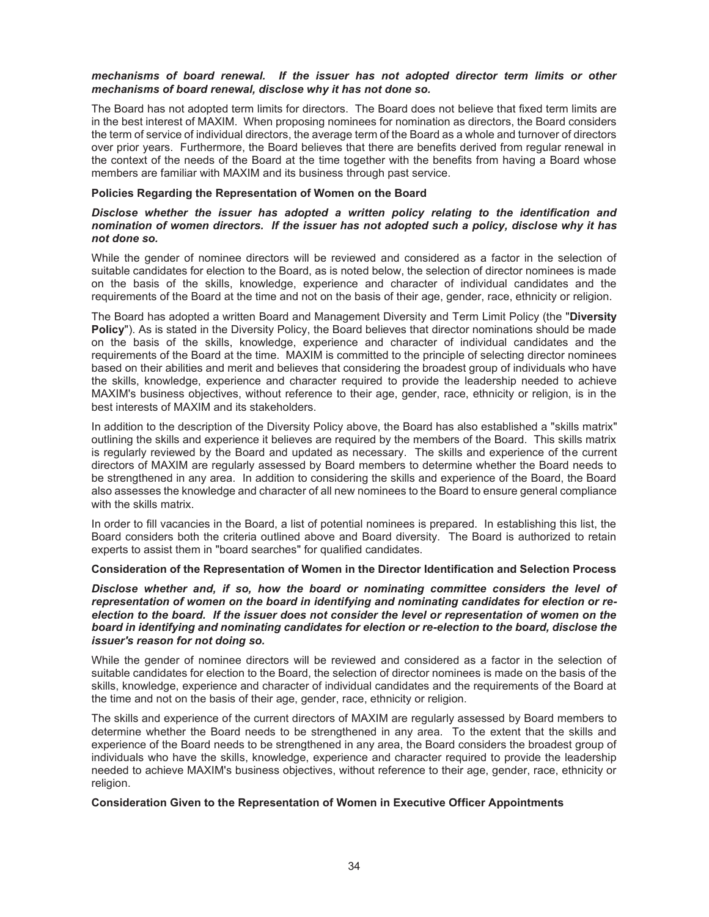## *mechanisms of board renewal. If the issuer has not adopted director term limits or other mechanisms of board renewal, disclose why it has not done so.*

The Board has not adopted term limits for directors. The Board does not believe that fixed term limits are in the best interest of MAXIM. When proposing nominees for nomination as directors, the Board considers the term of service of individual directors, the average term of the Board as a whole and turnover of directors over prior years. Furthermore, the Board believes that there are benefits derived from regular renewal in the context of the needs of the Board at the time together with the benefits from having a Board whose members are familiar with MAXIM and its business through past service.

## **Policies Regarding the Representation of Women on the Board**

## *Disclose whether the issuer has adopted a written policy relating to the identification and nomination of women directors. If the issuer has not adopted such a policy, disclose why it has not done so.*

While the gender of nominee directors will be reviewed and considered as a factor in the selection of suitable candidates for election to the Board, as is noted below, the selection of director nominees is made on the basis of the skills, knowledge, experience and character of individual candidates and the requirements of the Board at the time and not on the basis of their age, gender, race, ethnicity or religion.

The Board has adopted a written Board and Management Diversity and Term Limit Policy (the "**Diversity Policy**"). As is stated in the Diversity Policy, the Board believes that director nominations should be made on the basis of the skills, knowledge, experience and character of individual candidates and the requirements of the Board at the time. MAXIM is committed to the principle of selecting director nominees based on their abilities and merit and believes that considering the broadest group of individuals who have the skills, knowledge, experience and character required to provide the leadership needed to achieve MAXIM's business objectives, without reference to their age, gender, race, ethnicity or religion, is in the best interests of MAXIM and its stakeholders.

In addition to the description of the Diversity Policy above, the Board has also established a "skills matrix" outlining the skills and experience it believes are required by the members of the Board. This skills matrix is regularly reviewed by the Board and updated as necessary. The skills and experience of the current directors of MAXIM are regularly assessed by Board members to determine whether the Board needs to be strengthened in any area. In addition to considering the skills and experience of the Board, the Board also assesses the knowledge and character of all new nominees to the Board to ensure general compliance with the skills matrix.

In order to fill vacancies in the Board, a list of potential nominees is prepared. In establishing this list, the Board considers both the criteria outlined above and Board diversity. The Board is authorized to retain experts to assist them in "board searches" for qualified candidates.

## **Consideration of the Representation of Women in the Director Identification and Selection Process**

*Disclose whether and, if so, how the board or nominating committee considers the level of representation of women on the board in identifying and nominating candidates for election or reelection to the board. If the issuer does not consider the level or representation of women on the board in identifying and nominating candidates for election or re-election to the board, disclose the issuer's reason for not doing so.* 

While the gender of nominee directors will be reviewed and considered as a factor in the selection of suitable candidates for election to the Board, the selection of director nominees is made on the basis of the skills, knowledge, experience and character of individual candidates and the requirements of the Board at the time and not on the basis of their age, gender, race, ethnicity or religion.

The skills and experience of the current directors of MAXIM are regularly assessed by Board members to determine whether the Board needs to be strengthened in any area. To the extent that the skills and experience of the Board needs to be strengthened in any area, the Board considers the broadest group of individuals who have the skills, knowledge, experience and character required to provide the leadership needed to achieve MAXIM's business objectives, without reference to their age, gender, race, ethnicity or religion.

#### **Consideration Given to the Representation of Women in Executive Officer Appointments**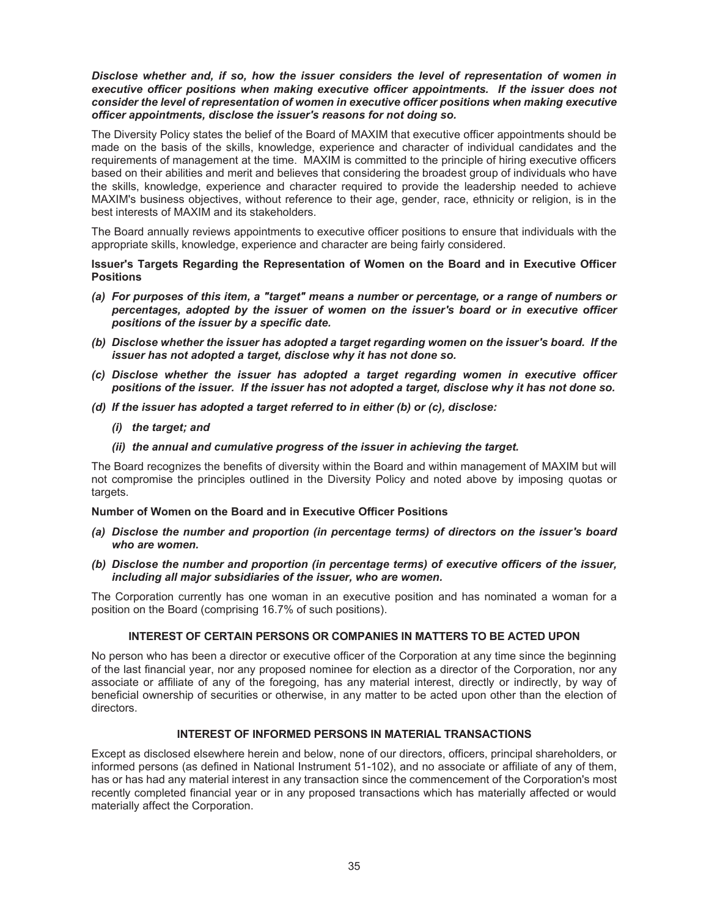## *Disclose whether and, if so, how the issuer considers the level of representation of women in executive officer positions when making executive officer appointments. If the issuer does not consider the level of representation of women in executive officer positions when making executive officer appointments, disclose the issuer's reasons for not doing so.*

The Diversity Policy states the belief of the Board of MAXIM that executive officer appointments should be made on the basis of the skills, knowledge, experience and character of individual candidates and the requirements of management at the time. MAXIM is committed to the principle of hiring executive officers based on their abilities and merit and believes that considering the broadest group of individuals who have the skills, knowledge, experience and character required to provide the leadership needed to achieve MAXIM's business objectives, without reference to their age, gender, race, ethnicity or religion, is in the best interests of MAXIM and its stakeholders.

The Board annually reviews appointments to executive officer positions to ensure that individuals with the appropriate skills, knowledge, experience and character are being fairly considered.

**Issuer's Targets Regarding the Representation of Women on the Board and in Executive Officer Positions** 

- *(a) For purposes of this item, a "target" means a number or percentage, or a range of numbers or percentages, adopted by the issuer of women on the issuer's board or in executive officer positions of the issuer by a specific date.*
- *(b) Disclose whether the issuer has adopted a target regarding women on the issuer's board. If the issuer has not adopted a target, disclose why it has not done so.*
- *(c) Disclose whether the issuer has adopted a target regarding women in executive officer positions of the issuer. If the issuer has not adopted a target, disclose why it has not done so.*
- *(d) If the issuer has adopted a target referred to in either (b) or (c), disclose:* 
	- *(i) the target; and*
	- *(ii) the annual and cumulative progress of the issuer in achieving the target.*

The Board recognizes the benefits of diversity within the Board and within management of MAXIM but will not compromise the principles outlined in the Diversity Policy and noted above by imposing quotas or targets.

#### **Number of Women on the Board and in Executive Officer Positions**

- *(a) Disclose the number and proportion (in percentage terms) of directors on the issuer's board who are women.*
- *(b) Disclose the number and proportion (in percentage terms) of executive officers of the issuer, including all major subsidiaries of the issuer, who are women.*

The Corporation currently has one woman in an executive position and has nominated a woman for a position on the Board (comprising 16.7% of such positions).

## **INTEREST OF CERTAIN PERSONS OR COMPANIES IN MATTERS TO BE ACTED UPON**

No person who has been a director or executive officer of the Corporation at any time since the beginning of the last financial year, nor any proposed nominee for election as a director of the Corporation, nor any associate or affiliate of any of the foregoing, has any material interest, directly or indirectly, by way of beneficial ownership of securities or otherwise, in any matter to be acted upon other than the election of directors.

## **INTEREST OF INFORMED PERSONS IN MATERIAL TRANSACTIONS**

Except as disclosed elsewhere herein and below, none of our directors, officers, principal shareholders, or informed persons (as defined in National Instrument 51-102), and no associate or affiliate of any of them, has or has had any material interest in any transaction since the commencement of the Corporation's most recently completed financial year or in any proposed transactions which has materially affected or would materially affect the Corporation.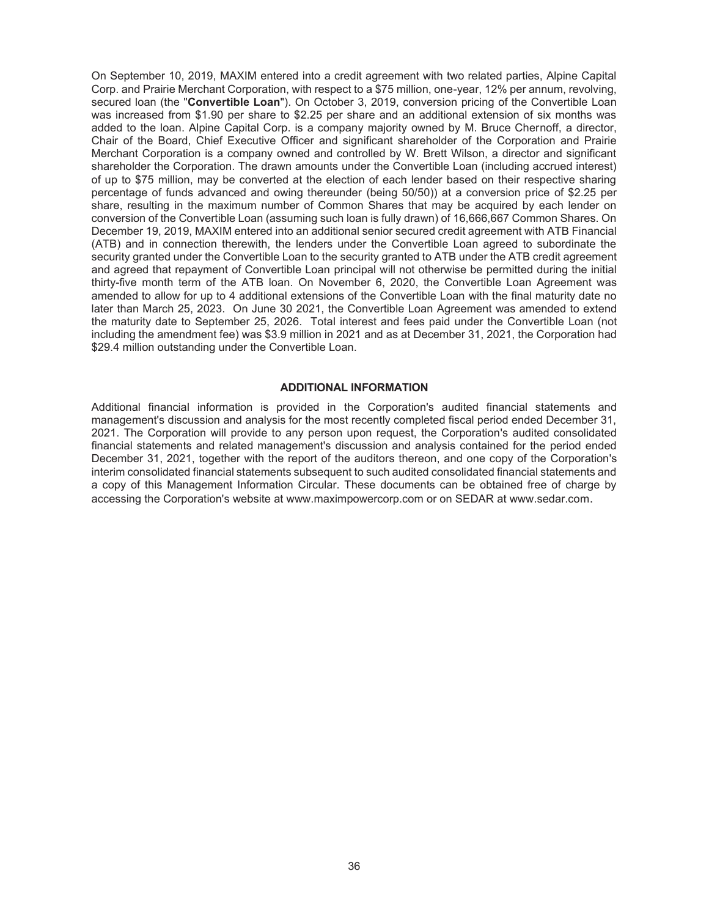On September 10, 2019, MAXIM entered into a credit agreement with two related parties, Alpine Capital Corp. and Prairie Merchant Corporation, with respect to a \$75 million, one-year, 12% per annum, revolving, secured loan (the "**Convertible Loan**"). On October 3, 2019, conversion pricing of the Convertible Loan was increased from \$1.90 per share to \$2.25 per share and an additional extension of six months was added to the loan. Alpine Capital Corp. is a company majority owned by M. Bruce Chernoff, a director, Chair of the Board, Chief Executive Officer and significant shareholder of the Corporation and Prairie Merchant Corporation is a company owned and controlled by W. Brett Wilson, a director and significant shareholder the Corporation. The drawn amounts under the Convertible Loan (including accrued interest) of up to \$75 million, may be converted at the election of each lender based on their respective sharing percentage of funds advanced and owing thereunder (being 50/50)) at a conversion price of \$2.25 per share, resulting in the maximum number of Common Shares that may be acquired by each lender on conversion of the Convertible Loan (assuming such loan is fully drawn) of 16,666,667 Common Shares. On December 19, 2019, MAXIM entered into an additional senior secured credit agreement with ATB Financial (ATB) and in connection therewith, the lenders under the Convertible Loan agreed to subordinate the security granted under the Convertible Loan to the security granted to ATB under the ATB credit agreement and agreed that repayment of Convertible Loan principal will not otherwise be permitted during the initial thirty-five month term of the ATB loan. On November 6, 2020, the Convertible Loan Agreement was amended to allow for up to 4 additional extensions of the Convertible Loan with the final maturity date no later than March 25, 2023. On June 30 2021, the Convertible Loan Agreement was amended to extend the maturity date to September 25, 2026. Total interest and fees paid under the Convertible Loan (not including the amendment fee) was \$3.9 million in 2021 and as at December 31, 2021, the Corporation had \$29.4 million outstanding under the Convertible Loan.

#### **ADDITIONAL INFORMATION**

Additional financial information is provided in the Corporation's audited financial statements and management's discussion and analysis for the most recently completed fiscal period ended December 31, 2021. The Corporation will provide to any person upon request, the Corporation's audited consolidated financial statements and related management's discussion and analysis contained for the period ended December 31, 2021, together with the report of the auditors thereon, and one copy of the Corporation's interim consolidated financial statements subsequent to such audited consolidated financial statements and a copy of this Management Information Circular. These documents can be obtained free of charge by accessing the Corporation's website at www.maximpowercorp.com or on SEDAR at www.sedar.com.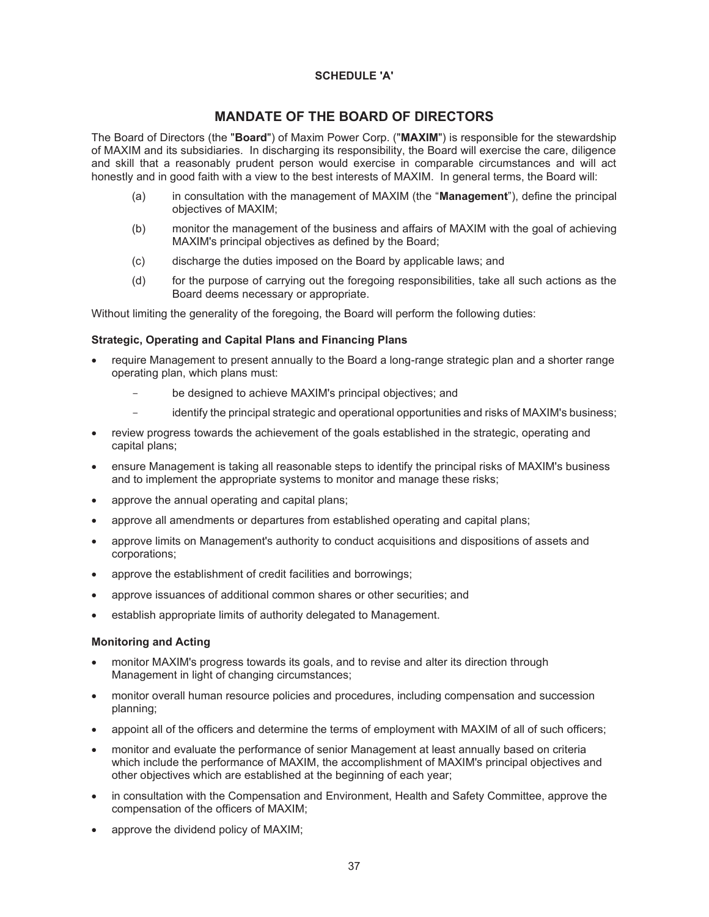## **SCHEDULE 'A'**

# **MANDATE OF THE BOARD OF DIRECTORS**

The Board of Directors (the "**Board**") of Maxim Power Corp. ("**MAXIM**") is responsible for the stewardship of MAXIM and its subsidiaries. In discharging its responsibility, the Board will exercise the care, diligence and skill that a reasonably prudent person would exercise in comparable circumstances and will act honestly and in good faith with a view to the best interests of MAXIM. In general terms, the Board will:

- (a) in consultation with the management of MAXIM (the "**Management**"), define the principal objectives of MAXIM;
- (b) monitor the management of the business and affairs of MAXIM with the goal of achieving MAXIM's principal objectives as defined by the Board;
- (c) discharge the duties imposed on the Board by applicable laws; and
- (d) for the purpose of carrying out the foregoing responsibilities, take all such actions as the Board deems necessary or appropriate.

Without limiting the generality of the foregoing, the Board will perform the following duties:

## **Strategic, Operating and Capital Plans and Financing Plans**

- require Management to present annually to the Board a long-range strategic plan and a shorter range operating plan, which plans must:
	- be designed to achieve MAXIM's principal objectives; and
	- identify the principal strategic and operational opportunities and risks of MAXIM's business;
- review progress towards the achievement of the goals established in the strategic, operating and capital plans;
- ensure Management is taking all reasonable steps to identify the principal risks of MAXIM's business and to implement the appropriate systems to monitor and manage these risks;
- approve the annual operating and capital plans;
- approve all amendments or departures from established operating and capital plans;
- approve limits on Management's authority to conduct acquisitions and dispositions of assets and corporations;
- approve the establishment of credit facilities and borrowings;
- approve issuances of additional common shares or other securities; and
- establish appropriate limits of authority delegated to Management.

#### **Monitoring and Acting**

- monitor MAXIM's progress towards its goals, and to revise and alter its direction through Management in light of changing circumstances;
- monitor overall human resource policies and procedures, including compensation and succession planning;
- appoint all of the officers and determine the terms of employment with MAXIM of all of such officers;
- monitor and evaluate the performance of senior Management at least annually based on criteria which include the performance of MAXIM, the accomplishment of MAXIM's principal objectives and other objectives which are established at the beginning of each year;
- in consultation with the Compensation and Environment, Health and Safety Committee, approve the compensation of the officers of MAXIM;
- approve the dividend policy of MAXIM;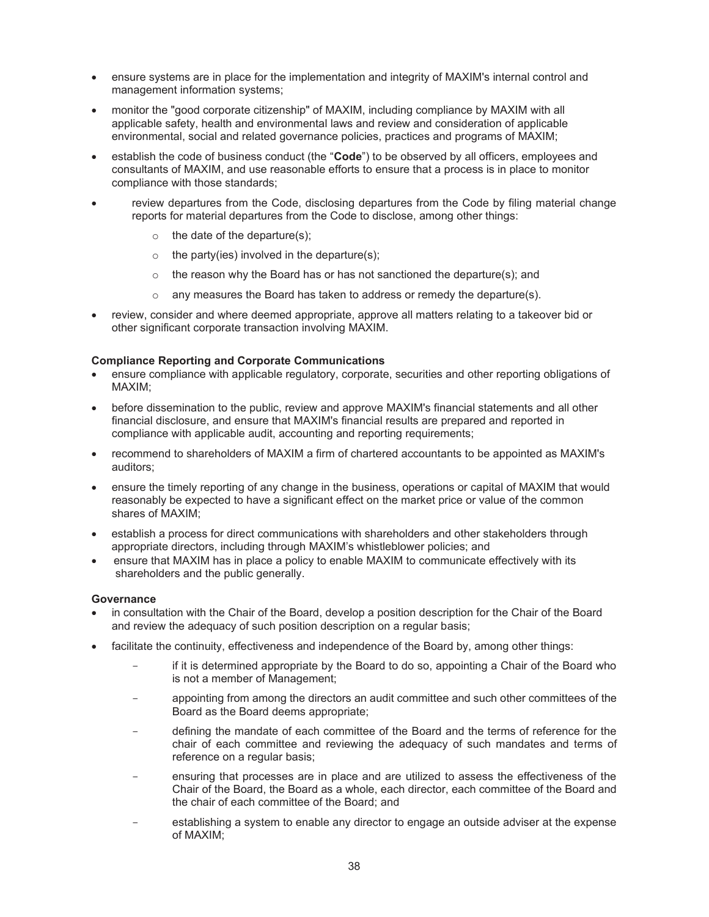- ensure systems are in place for the implementation and integrity of MAXIM's internal control and management information systems;
- x monitor the "good corporate citizenship" of MAXIM, including compliance by MAXIM with all applicable safety, health and environmental laws and review and consideration of applicable environmental, social and related governance policies, practices and programs of MAXIM;
- establish the code of business conduct (the "**Code**") to be observed by all officers, employees and consultants of MAXIM, and use reasonable efforts to ensure that a process is in place to monitor compliance with those standards;
- review departures from the Code, disclosing departures from the Code by filing material change reports for material departures from the Code to disclose, among other things:
	- $\circ$  the date of the departure(s);
	- $\circ$  the party(ies) involved in the departure(s);
	- $\circ$  the reason why the Board has or has not sanctioned the departure(s); and
	- o any measures the Board has taken to address or remedy the departure(s).
- review, consider and where deemed appropriate, approve all matters relating to a takeover bid or other significant corporate transaction involving MAXIM.

## **Compliance Reporting and Corporate Communications**

- ensure compliance with applicable regulatory, corporate, securities and other reporting obligations of MAXIM;
- before dissemination to the public, review and approve MAXIM's financial statements and all other financial disclosure, and ensure that MAXIM's financial results are prepared and reported in compliance with applicable audit, accounting and reporting requirements;
- x recommend to shareholders of MAXIM a firm of chartered accountants to be appointed as MAXIM's auditors;
- ensure the timely reporting of any change in the business, operations or capital of MAXIM that would reasonably be expected to have a significant effect on the market price or value of the common shares of MAXIM;
- establish a process for direct communications with shareholders and other stakeholders through appropriate directors, including through MAXIM's whistleblower policies; and
- ensure that MAXIM has in place a policy to enable MAXIM to communicate effectively with its shareholders and the public generally.

#### **Governance**

- in consultation with the Chair of the Board, develop a position description for the Chair of the Board and review the adequacy of such position description on a regular basis;
- facilitate the continuity, effectiveness and independence of the Board by, among other things:
	- if it is determined appropriate by the Board to do so, appointing a Chair of the Board who is not a member of Management;
	- appointing from among the directors an audit committee and such other committees of the Board as the Board deems appropriate;
	- defining the mandate of each committee of the Board and the terms of reference for the chair of each committee and reviewing the adequacy of such mandates and terms of reference on a regular basis;
	- ensuring that processes are in place and are utilized to assess the effectiveness of the Chair of the Board, the Board as a whole, each director, each committee of the Board and the chair of each committee of the Board; and
	- establishing a system to enable any director to engage an outside adviser at the expense of MAXIM;